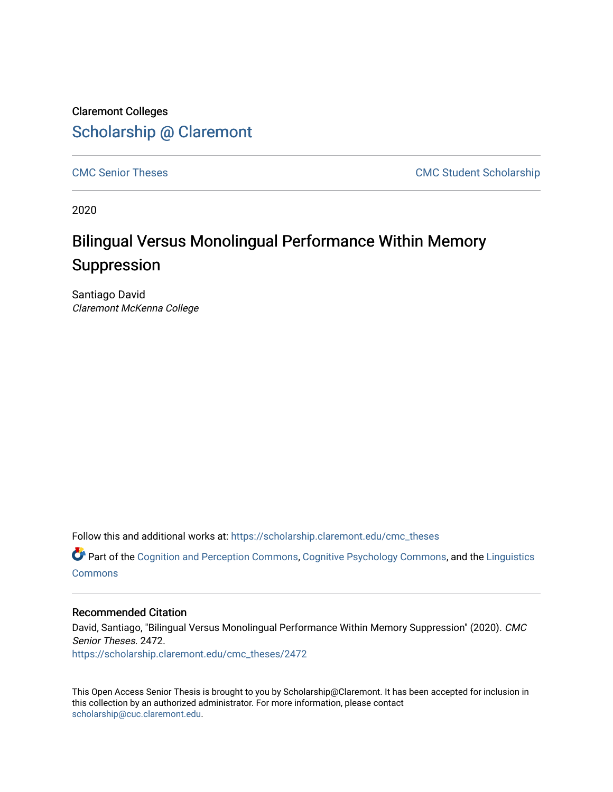Claremont Colleges [Scholarship @ Claremont](https://scholarship.claremont.edu/) 

[CMC Senior Theses](https://scholarship.claremont.edu/cmc_theses) CMC Student Scholarship

2020

# Bilingual Versus Monolingual Performance Within Memory Suppression

Santiago David Claremont McKenna College

Follow this and additional works at: [https://scholarship.claremont.edu/cmc\\_theses](https://scholarship.claremont.edu/cmc_theses?utm_source=scholarship.claremont.edu%2Fcmc_theses%2F2472&utm_medium=PDF&utm_campaign=PDFCoverPages) 

 $\bullet$  Part of the [Cognition and Perception Commons,](http://network.bepress.com/hgg/discipline/407?utm_source=scholarship.claremont.edu%2Fcmc_theses%2F2472&utm_medium=PDF&utm_campaign=PDFCoverPages) [Cognitive Psychology Commons](http://network.bepress.com/hgg/discipline/408?utm_source=scholarship.claremont.edu%2Fcmc_theses%2F2472&utm_medium=PDF&utm_campaign=PDFCoverPages), and the [Linguistics](http://network.bepress.com/hgg/discipline/371?utm_source=scholarship.claremont.edu%2Fcmc_theses%2F2472&utm_medium=PDF&utm_campaign=PDFCoverPages) **[Commons](http://network.bepress.com/hgg/discipline/371?utm_source=scholarship.claremont.edu%2Fcmc_theses%2F2472&utm_medium=PDF&utm_campaign=PDFCoverPages)** 

#### Recommended Citation

David, Santiago, "Bilingual Versus Monolingual Performance Within Memory Suppression" (2020). CMC Senior Theses. 2472.

[https://scholarship.claremont.edu/cmc\\_theses/2472](https://scholarship.claremont.edu/cmc_theses/2472?utm_source=scholarship.claremont.edu%2Fcmc_theses%2F2472&utm_medium=PDF&utm_campaign=PDFCoverPages) 

This Open Access Senior Thesis is brought to you by Scholarship@Claremont. It has been accepted for inclusion in this collection by an authorized administrator. For more information, please contact [scholarship@cuc.claremont.edu.](mailto:scholarship@cuc.claremont.edu)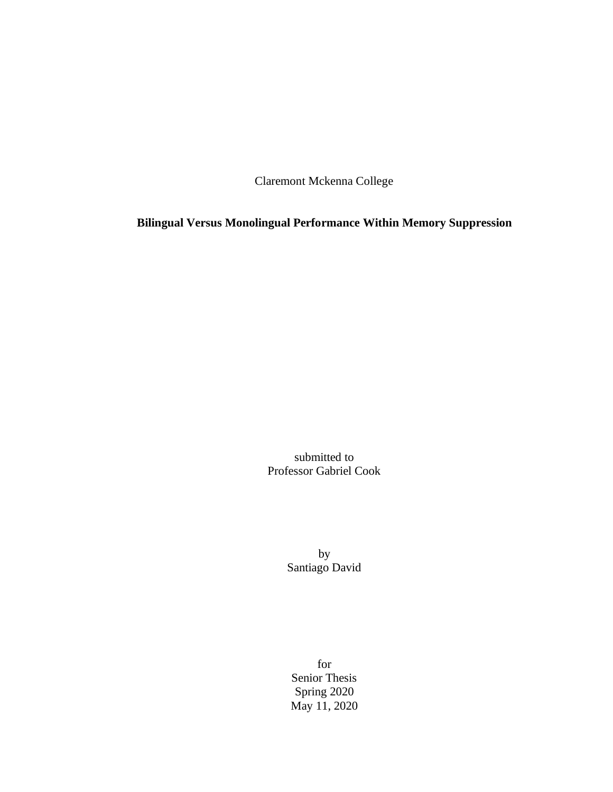Claremont Mckenna College

**Bilingual Versus Monolingual Performance Within Memory Suppression**

submitted to Professor Gabriel Cook

> by Santiago David

for Senior Thesis Spring 2020 May 11, 2020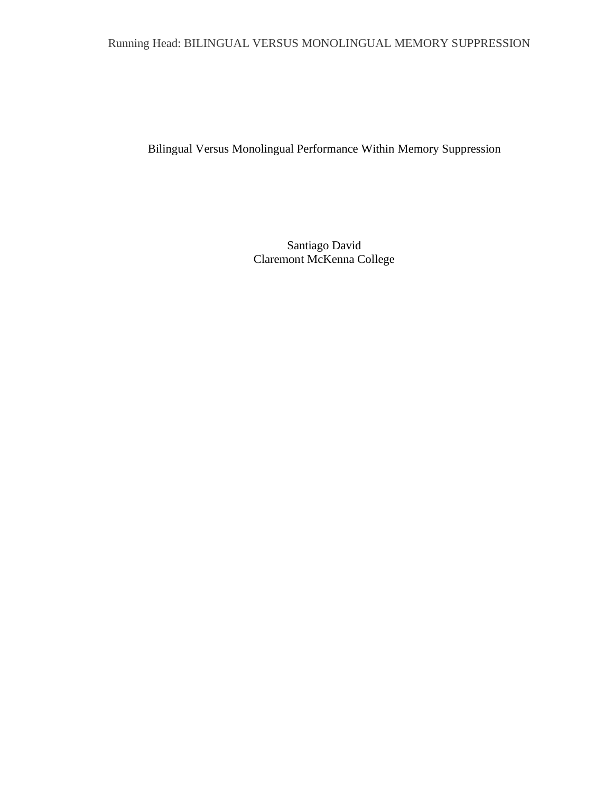# Running Head: BILINGUAL VERSUS MONOLINGUAL MEMORY SUPPRESSION

Bilingual Versus Monolingual Performance Within Memory Suppression

Santiago David Claremont McKenna College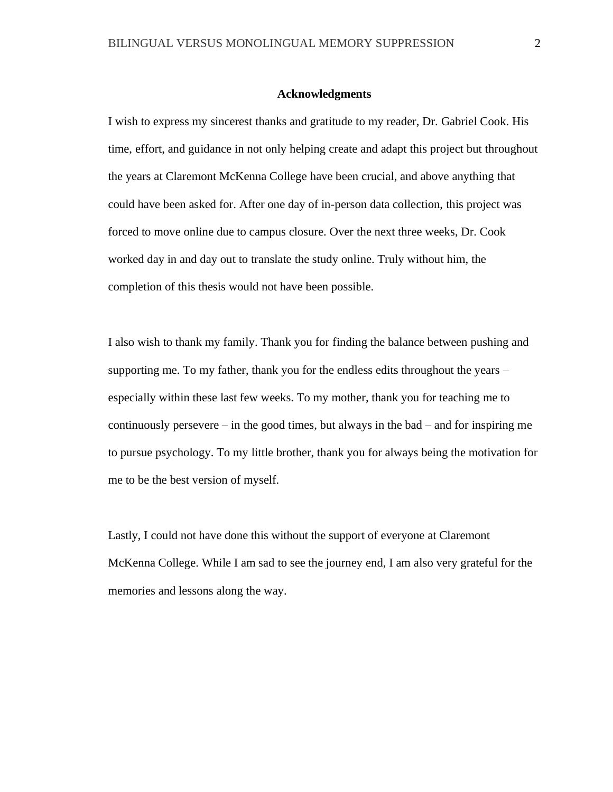#### **Acknowledgments**

I wish to express my sincerest thanks and gratitude to my reader, Dr. Gabriel Cook. His time, effort, and guidance in not only helping create and adapt this project but throughout the years at Claremont McKenna College have been crucial, and above anything that could have been asked for. After one day of in-person data collection, this project was forced to move online due to campus closure. Over the next three weeks, Dr. Cook worked day in and day out to translate the study online. Truly without him, the completion of this thesis would not have been possible.

I also wish to thank my family. Thank you for finding the balance between pushing and supporting me. To my father, thank you for the endless edits throughout the years – especially within these last few weeks. To my mother, thank you for teaching me to continuously persevere – in the good times, but always in the bad – and for inspiring me to pursue psychology. To my little brother, thank you for always being the motivation for me to be the best version of myself.

Lastly, I could not have done this without the support of everyone at Claremont McKenna College. While I am sad to see the journey end, I am also very grateful for the memories and lessons along the way.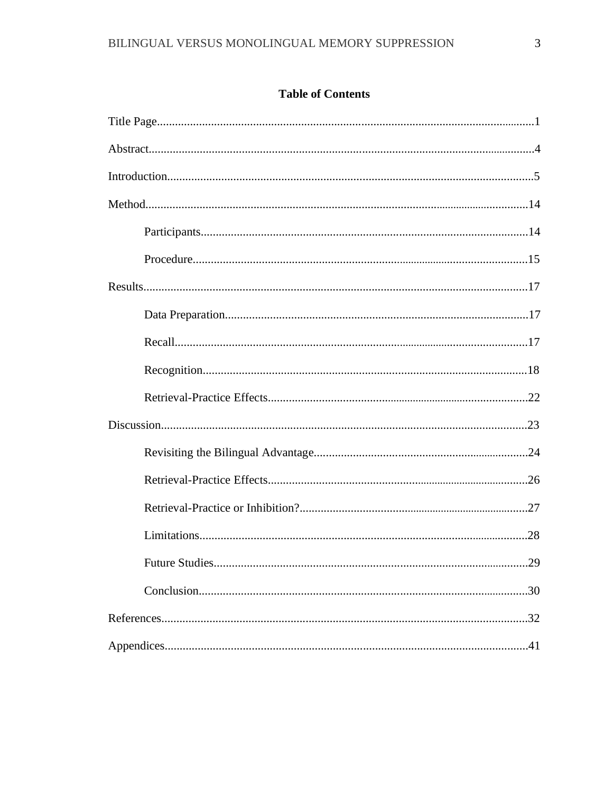# **Table of Contents**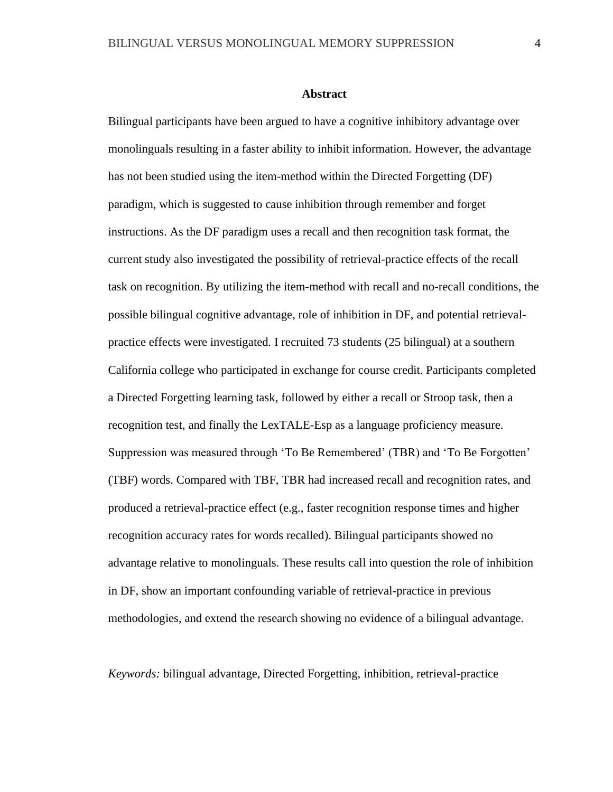#### **Abstract**

Bilingual participants have been argued to have a cognitive inhibitory advantage over monolinguals resulting in a faster ability to inhibit information. However, the advantage has not been studied using the item-method within the Directed Forgetting (DF) paradigm, which is suggested to cause inhibition through remember and forget instructions. As the DF paradigm uses a recall and then recognition task format, the current study also investigated the possibility of retrieval-practice effects of the recall task on recognition. By utilizing the item-method with recall and no-recall conditions, the possible bilingual cognitive advantage, role of inhibition in DF, and potential retrievalpractice effects were investigated. I recruited 73 students (25 bilingual) at a southern California college who participated in exchange for course credit. Participants completed a Directed Forgetting learning task, followed by either a recall or Stroop task, then a recognition test, and finally the LexTALE-Esp as a language proficiency measure. Suppression was measured through 'To Be Remembered' (TBR) and 'To Be Forgotten' (TBF) words. Compared with TBF, TBR had increased recall and recognition rates, and produced a retrieval-practice effect (e.g., faster recognition response times and higher recognition accuracy rates for words recalled). Bilingual participants showed no advantage relative to monolinguals. These results call into question the role of inhibition in DF, show an important confounding variable of retrieval-practice in previous methodologies, and extend the research showing no evidence of a bilingual advantage.

*Keywords:* bilingual advantage, Directed Forgetting, inhibition, retrieval-practice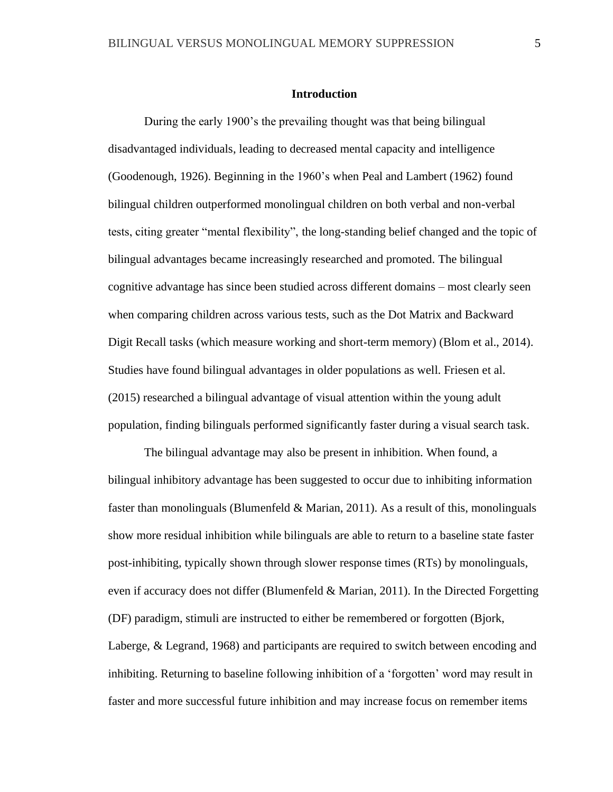#### **Introduction**

During the early 1900's the prevailing thought was that being bilingual disadvantaged individuals, leading to decreased mental capacity and intelligence (Goodenough, 1926). Beginning in the 1960's when Peal and Lambert (1962) found bilingual children outperformed monolingual children on both verbal and non-verbal tests, citing greater "mental flexibility", the long-standing belief changed and the topic of bilingual advantages became increasingly researched and promoted. The bilingual cognitive advantage has since been studied across different domains – most clearly seen when comparing children across various tests, such as the Dot Matrix and Backward Digit Recall tasks (which measure working and short-term memory) (Blom et al., 2014). Studies have found bilingual advantages in older populations as well. Friesen et al. (2015) researched a bilingual advantage of visual attention within the young adult population, finding bilinguals performed significantly faster during a visual search task.

The bilingual advantage may also be present in inhibition. When found, a bilingual inhibitory advantage has been suggested to occur due to inhibiting information faster than monolinguals (Blumenfeld  $&$  Marian, 2011). As a result of this, monolinguals show more residual inhibition while bilinguals are able to return to a baseline state faster post-inhibiting, typically shown through slower response times (RTs) by monolinguals, even if accuracy does not differ (Blumenfeld & Marian, 2011). In the Directed Forgetting (DF) paradigm, stimuli are instructed to either be remembered or forgotten (Bjork, Laberge, & Legrand, 1968) and participants are required to switch between encoding and inhibiting. Returning to baseline following inhibition of a 'forgotten' word may result in faster and more successful future inhibition and may increase focus on remember items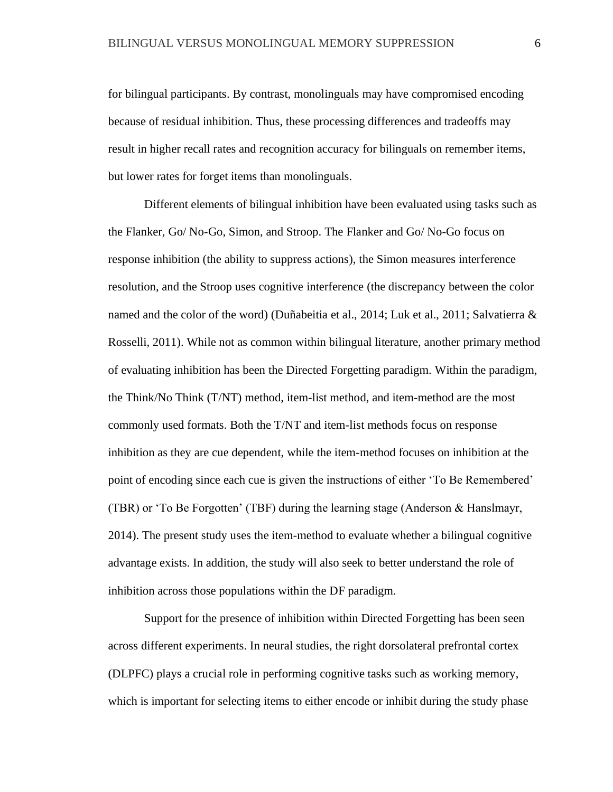for bilingual participants. By contrast, monolinguals may have compromised encoding because of residual inhibition. Thus, these processing differences and tradeoffs may result in higher recall rates and recognition accuracy for bilinguals on remember items, but lower rates for forget items than monolinguals.

Different elements of bilingual inhibition have been evaluated using tasks such as the Flanker, Go/ No-Go, Simon, and Stroop. The Flanker and Go/ No-Go focus on response inhibition (the ability to suppress actions), the Simon measures interference resolution, and the Stroop uses cognitive interference (the discrepancy between the color named and the color of the word) (Duñabeitia et al., 2014; Luk et al., 2011; Salvatierra & Rosselli, 2011). While not as common within bilingual literature, another primary method of evaluating inhibition has been the Directed Forgetting paradigm. Within the paradigm, the Think/No Think (T/NT) method, item-list method, and item-method are the most commonly used formats. Both the T/NT and item-list methods focus on response inhibition as they are cue dependent, while the item-method focuses on inhibition at the point of encoding since each cue is given the instructions of either 'To Be Remembered' (TBR) or 'To Be Forgotten' (TBF) during the learning stage (Anderson & Hanslmayr, 2014). The present study uses the item-method to evaluate whether a bilingual cognitive advantage exists. In addition, the study will also seek to better understand the role of inhibition across those populations within the DF paradigm.

Support for the presence of inhibition within Directed Forgetting has been seen across different experiments. In neural studies, the right dorsolateral prefrontal cortex (DLPFC) plays a crucial role in performing cognitive tasks such as working memory, which is important for selecting items to either encode or inhibit during the study phase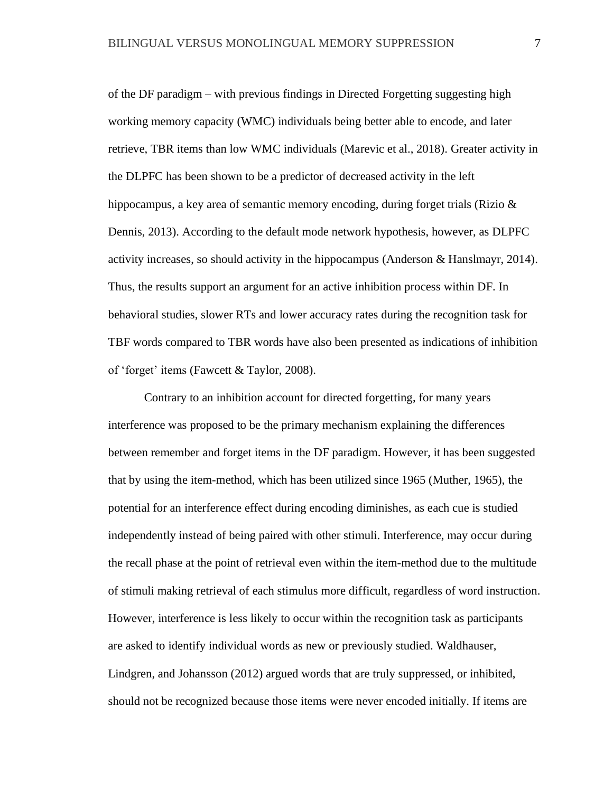of the DF paradigm – with previous findings in Directed Forgetting suggesting high working memory capacity (WMC) individuals being better able to encode, and later retrieve, TBR items than low WMC individuals (Marevic et al., 2018). Greater activity in the DLPFC has been shown to be a predictor of decreased activity in the left hippocampus, a key area of semantic memory encoding, during forget trials (Rizio & Dennis, 2013). According to the default mode network hypothesis, however, as DLPFC activity increases, so should activity in the hippocampus (Anderson & Hanslmayr, 2014). Thus, the results support an argument for an active inhibition process within DF. In behavioral studies, slower RTs and lower accuracy rates during the recognition task for TBF words compared to TBR words have also been presented as indications of inhibition of 'forget' items (Fawcett & Taylor, 2008).

Contrary to an inhibition account for directed forgetting, for many years interference was proposed to be the primary mechanism explaining the differences between remember and forget items in the DF paradigm. However, it has been suggested that by using the item-method, which has been utilized since 1965 (Muther, 1965), the potential for an interference effect during encoding diminishes, as each cue is studied independently instead of being paired with other stimuli. Interference, may occur during the recall phase at the point of retrieval even within the item-method due to the multitude of stimuli making retrieval of each stimulus more difficult, regardless of word instruction. However, interference is less likely to occur within the recognition task as participants are asked to identify individual words as new or previously studied. Waldhauser, Lindgren, and Johansson (2012) argued words that are truly suppressed, or inhibited, should not be recognized because those items were never encoded initially. If items are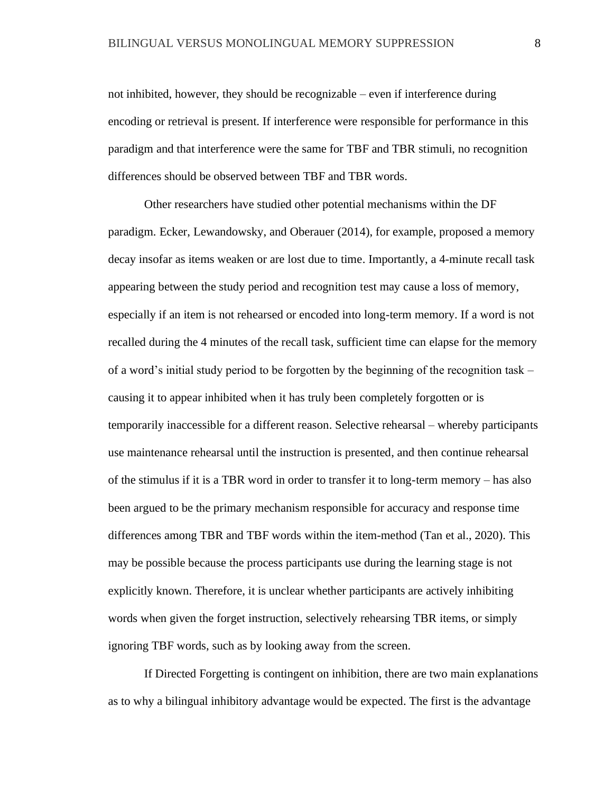not inhibited, however, they should be recognizable – even if interference during encoding or retrieval is present. If interference were responsible for performance in this paradigm and that interference were the same for TBF and TBR stimuli, no recognition differences should be observed between TBF and TBR words.

Other researchers have studied other potential mechanisms within the DF paradigm. Ecker, Lewandowsky, and Oberauer (2014), for example, proposed a memory decay insofar as items weaken or are lost due to time. Importantly, a 4-minute recall task appearing between the study period and recognition test may cause a loss of memory, especially if an item is not rehearsed or encoded into long-term memory. If a word is not recalled during the 4 minutes of the recall task, sufficient time can elapse for the memory of a word's initial study period to be forgotten by the beginning of the recognition task – causing it to appear inhibited when it has truly been completely forgotten or is temporarily inaccessible for a different reason. Selective rehearsal – whereby participants use maintenance rehearsal until the instruction is presented, and then continue rehearsal of the stimulus if it is a TBR word in order to transfer it to long-term memory – has also been argued to be the primary mechanism responsible for accuracy and response time differences among TBR and TBF words within the item-method (Tan et al., 2020). This may be possible because the process participants use during the learning stage is not explicitly known. Therefore, it is unclear whether participants are actively inhibiting words when given the forget instruction, selectively rehearsing TBR items, or simply ignoring TBF words, such as by looking away from the screen.

If Directed Forgetting is contingent on inhibition, there are two main explanations as to why a bilingual inhibitory advantage would be expected. The first is the advantage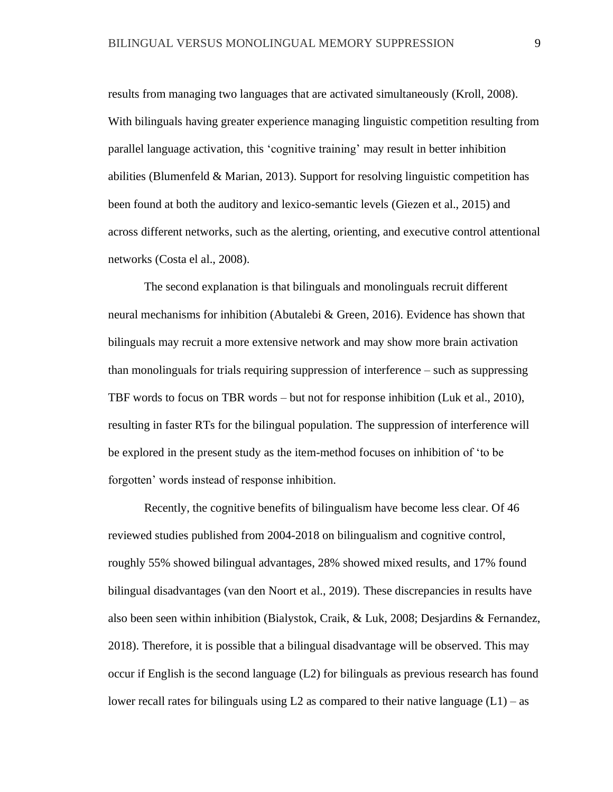results from managing two languages that are activated simultaneously (Kroll, 2008). With bilinguals having greater experience managing linguistic competition resulting from parallel language activation, this 'cognitive training' may result in better inhibition abilities (Blumenfeld & Marian, 2013). Support for resolving linguistic competition has been found at both the auditory and lexico-semantic levels (Giezen et al., 2015) and across different networks, such as the alerting, orienting, and executive control attentional networks (Costa el al., 2008).

The second explanation is that bilinguals and monolinguals recruit different neural mechanisms for inhibition (Abutalebi & Green, 2016). Evidence has shown that bilinguals may recruit a more extensive network and may show more brain activation than monolinguals for trials requiring suppression of interference – such as suppressing TBF words to focus on TBR words – but not for response inhibition (Luk et al., 2010), resulting in faster RTs for the bilingual population. The suppression of interference will be explored in the present study as the item-method focuses on inhibition of 'to be forgotten' words instead of response inhibition.

Recently, the cognitive benefits of bilingualism have become less clear. Of 46 reviewed studies published from 2004-2018 on bilingualism and cognitive control, roughly 55% showed bilingual advantages, 28% showed mixed results, and 17% found bilingual disadvantages (van den Noort et al., 2019). These discrepancies in results have also been seen within inhibition (Bialystok, Craik, & Luk, 2008; Desjardins & Fernandez, 2018). Therefore, it is possible that a bilingual disadvantage will be observed. This may occur if English is the second language (L2) for bilinguals as previous research has found lower recall rates for bilinguals using  $L2$  as compared to their native language  $(L1)$  – as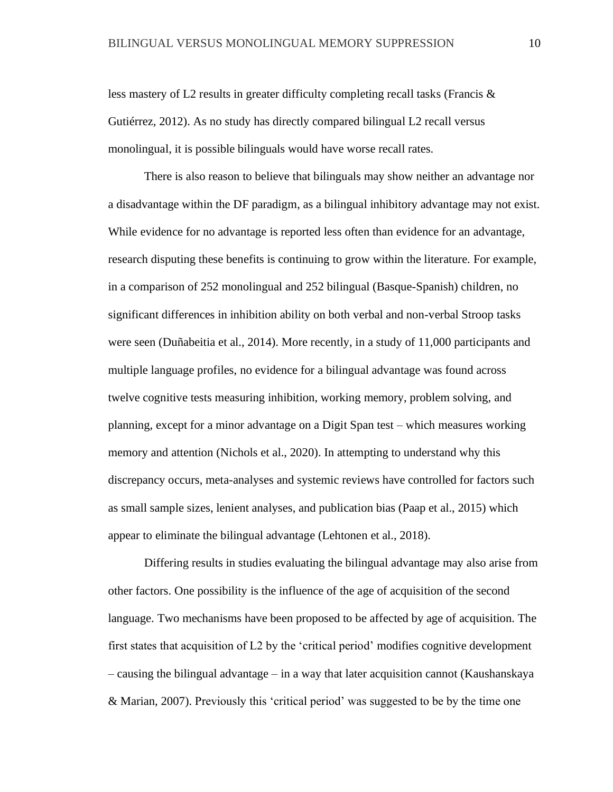less mastery of L2 results in greater difficulty completing recall tasks (Francis & Gutiérrez, 2012). As no study has directly compared bilingual L2 recall versus monolingual, it is possible bilinguals would have worse recall rates.

There is also reason to believe that bilinguals may show neither an advantage nor a disadvantage within the DF paradigm, as a bilingual inhibitory advantage may not exist. While evidence for no advantage is reported less often than evidence for an advantage, research disputing these benefits is continuing to grow within the literature. For example, in a comparison of 252 monolingual and 252 bilingual (Basque-Spanish) children, no significant differences in inhibition ability on both verbal and non-verbal Stroop tasks were seen (Duñabeitia et al., 2014). More recently, in a study of 11,000 participants and multiple language profiles, no evidence for a bilingual advantage was found across twelve cognitive tests measuring inhibition, working memory, problem solving, and planning, except for a minor advantage on a Digit Span test – which measures working memory and attention (Nichols et al., 2020). In attempting to understand why this discrepancy occurs, meta-analyses and systemic reviews have controlled for factors such as small sample sizes, lenient analyses, and publication bias (Paap et al., 2015) which appear to eliminate the bilingual advantage (Lehtonen et al., 2018).

Differing results in studies evaluating the bilingual advantage may also arise from other factors. One possibility is the influence of the age of acquisition of the second language. Two mechanisms have been proposed to be affected by age of acquisition. The first states that acquisition of L2 by the 'critical period' modifies cognitive development – causing the bilingual advantage – in a way that later acquisition cannot (Kaushanskaya & Marian, 2007). Previously this 'critical period' was suggested to be by the time one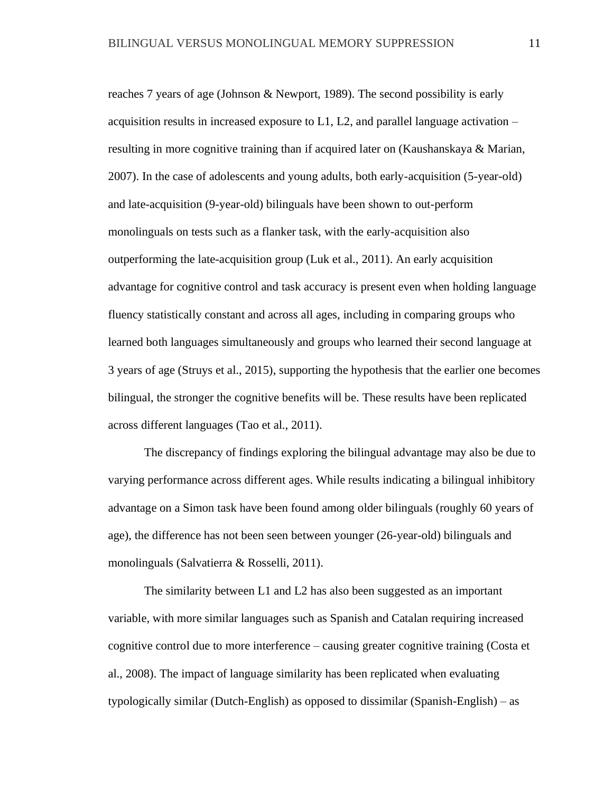reaches 7 years of age (Johnson & Newport, 1989). The second possibility is early acquisition results in increased exposure to  $L1$ ,  $L2$ , and parallel language activation – resulting in more cognitive training than if acquired later on (Kaushanskaya & Marian, 2007). In the case of adolescents and young adults, both early-acquisition (5-year-old) and late-acquisition (9-year-old) bilinguals have been shown to out-perform monolinguals on tests such as a flanker task, with the early-acquisition also outperforming the late-acquisition group (Luk et al., 2011). An early acquisition advantage for cognitive control and task accuracy is present even when holding language fluency statistically constant and across all ages, including in comparing groups who learned both languages simultaneously and groups who learned their second language at 3 years of age (Struys et al., 2015), supporting the hypothesis that the earlier one becomes bilingual, the stronger the cognitive benefits will be. These results have been replicated across different languages (Tao et al., 2011).

The discrepancy of findings exploring the bilingual advantage may also be due to varying performance across different ages. While results indicating a bilingual inhibitory advantage on a Simon task have been found among older bilinguals (roughly 60 years of age), the difference has not been seen between younger (26-year-old) bilinguals and monolinguals (Salvatierra & Rosselli, 2011).

The similarity between L1 and L2 has also been suggested as an important variable, with more similar languages such as Spanish and Catalan requiring increased cognitive control due to more interference – causing greater cognitive training (Costa et al., 2008). The impact of language similarity has been replicated when evaluating typologically similar (Dutch-English) as opposed to dissimilar (Spanish-English) – as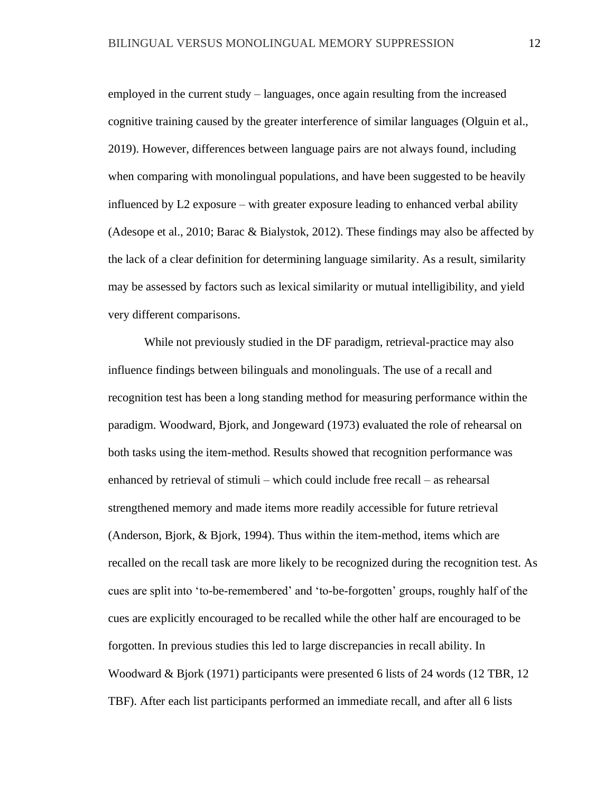employed in the current study – languages, once again resulting from the increased cognitive training caused by the greater interference of similar languages (Olguin et al., 2019). However, differences between language pairs are not always found, including when comparing with monolingual populations, and have been suggested to be heavily influenced by L2 exposure – with greater exposure leading to enhanced verbal ability (Adesope et al., 2010; Barac & Bialystok, 2012). These findings may also be affected by the lack of a clear definition for determining language similarity. As a result, similarity may be assessed by factors such as lexical similarity or mutual intelligibility, and yield very different comparisons.

While not previously studied in the DF paradigm, retrieval-practice may also influence findings between bilinguals and monolinguals. The use of a recall and recognition test has been a long standing method for measuring performance within the paradigm. Woodward, Bjork, and Jongeward (1973) evaluated the role of rehearsal on both tasks using the item-method. Results showed that recognition performance was enhanced by retrieval of stimuli – which could include free recall – as rehearsal strengthened memory and made items more readily accessible for future retrieval (Anderson, Bjork, & Bjork, 1994). Thus within the item-method, items which are recalled on the recall task are more likely to be recognized during the recognition test. As cues are split into 'to-be-remembered' and 'to-be-forgotten' groups, roughly half of the cues are explicitly encouraged to be recalled while the other half are encouraged to be forgotten. In previous studies this led to large discrepancies in recall ability. In Woodward & Bjork (1971) participants were presented 6 lists of 24 words (12 TBR, 12 TBF). After each list participants performed an immediate recall, and after all 6 lists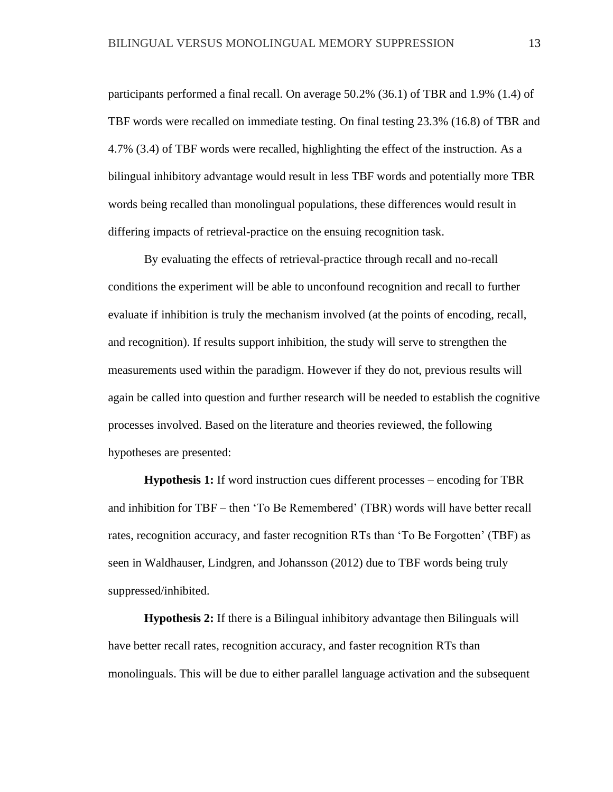participants performed a final recall. On average 50.2% (36.1) of TBR and 1.9% (1.4) of TBF words were recalled on immediate testing. On final testing 23.3% (16.8) of TBR and 4.7% (3.4) of TBF words were recalled, highlighting the effect of the instruction. As a bilingual inhibitory advantage would result in less TBF words and potentially more TBR words being recalled than monolingual populations, these differences would result in differing impacts of retrieval-practice on the ensuing recognition task.

By evaluating the effects of retrieval-practice through recall and no-recall conditions the experiment will be able to unconfound recognition and recall to further evaluate if inhibition is truly the mechanism involved (at the points of encoding, recall, and recognition). If results support inhibition, the study will serve to strengthen the measurements used within the paradigm. However if they do not, previous results will again be called into question and further research will be needed to establish the cognitive processes involved. Based on the literature and theories reviewed, the following hypotheses are presented:

**Hypothesis 1:** If word instruction cues different processes – encoding for TBR and inhibition for TBF – then 'To Be Remembered' (TBR) words will have better recall rates, recognition accuracy, and faster recognition RTs than 'To Be Forgotten' (TBF) as seen in Waldhauser, Lindgren, and Johansson (2012) due to TBF words being truly suppressed/inhibited.

**Hypothesis 2:** If there is a Bilingual inhibitory advantage then Bilinguals will have better recall rates, recognition accuracy, and faster recognition RTs than monolinguals. This will be due to either parallel language activation and the subsequent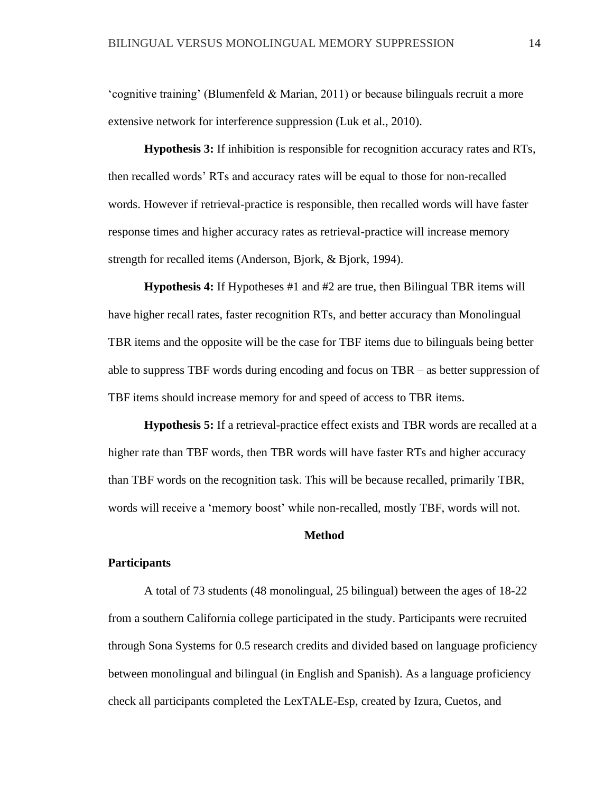'cognitive training' (Blumenfeld & Marian, 2011) or because bilinguals recruit a more extensive network for interference suppression (Luk et al., 2010).

**Hypothesis 3:** If inhibition is responsible for recognition accuracy rates and RTs, then recalled words' RTs and accuracy rates will be equal to those for non-recalled words. However if retrieval-practice is responsible, then recalled words will have faster response times and higher accuracy rates as retrieval-practice will increase memory strength for recalled items (Anderson, Bjork, & Bjork, 1994).

**Hypothesis 4:** If Hypotheses #1 and #2 are true, then Bilingual TBR items will have higher recall rates, faster recognition RTs, and better accuracy than Monolingual TBR items and the opposite will be the case for TBF items due to bilinguals being better able to suppress TBF words during encoding and focus on TBR – as better suppression of TBF items should increase memory for and speed of access to TBR items.

**Hypothesis 5:** If a retrieval-practice effect exists and TBR words are recalled at a higher rate than TBF words, then TBR words will have faster RTs and higher accuracy than TBF words on the recognition task. This will be because recalled, primarily TBR, words will receive a 'memory boost' while non-recalled, mostly TBF, words will not.

#### **Method**

### **Participants**

A total of 73 students (48 monolingual, 25 bilingual) between the ages of 18-22 from a southern California college participated in the study. Participants were recruited through Sona Systems for 0.5 research credits and divided based on language proficiency between monolingual and bilingual (in English and Spanish). As a language proficiency check all participants completed the LexTALE-Esp, created by Izura, Cuetos, and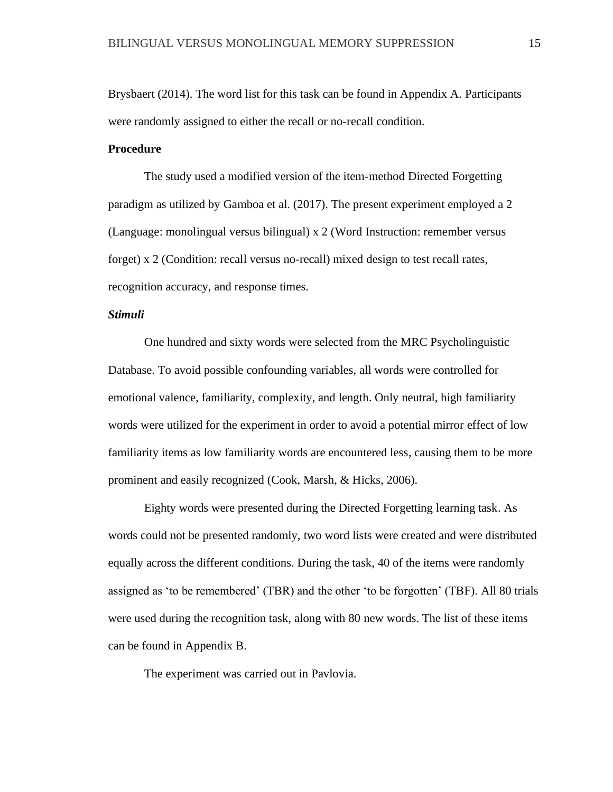Brysbaert (2014). The word list for this task can be found in Appendix A. Participants were randomly assigned to either the recall or no-recall condition.

# **Procedure**

The study used a modified version of the item-method Directed Forgetting paradigm as utilized by Gamboa et al. (2017). The present experiment employed a 2 (Language: monolingual versus bilingual) x 2 (Word Instruction: remember versus forget) x 2 (Condition: recall versus no-recall) mixed design to test recall rates, recognition accuracy, and response times.

#### *Stimuli*

One hundred and sixty words were selected from the MRC Psycholinguistic Database. To avoid possible confounding variables, all words were controlled for emotional valence, familiarity, complexity, and length. Only neutral, high familiarity words were utilized for the experiment in order to avoid a potential mirror effect of low familiarity items as low familiarity words are encountered less, causing them to be more prominent and easily recognized (Cook, Marsh, & Hicks, 2006).

Eighty words were presented during the Directed Forgetting learning task. As words could not be presented randomly, two word lists were created and were distributed equally across the different conditions. During the task, 40 of the items were randomly assigned as 'to be remembered' (TBR) and the other 'to be forgotten' (TBF). All 80 trials were used during the recognition task, along with 80 new words. The list of these items can be found in Appendix B.

The experiment was carried out in Pavlovia.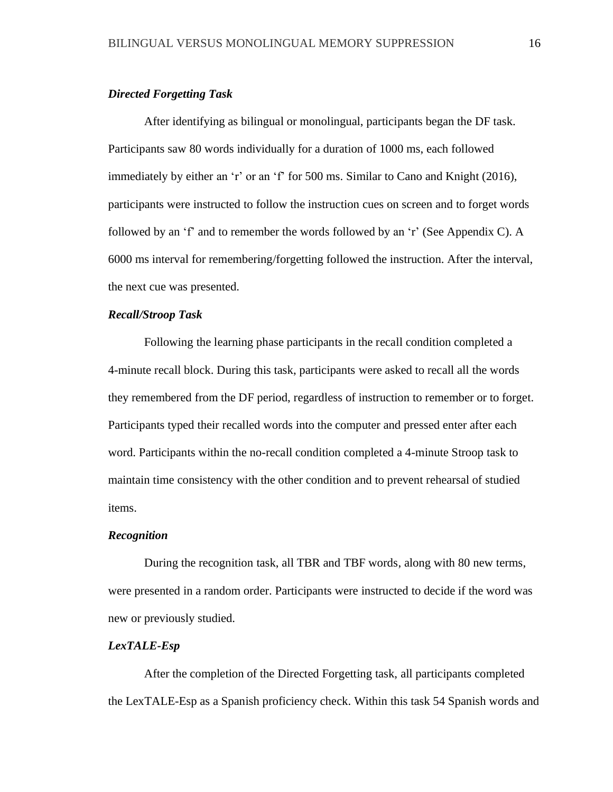#### *Directed Forgetting Task*

After identifying as bilingual or monolingual, participants began the DF task. Participants saw 80 words individually for a duration of 1000 ms, each followed immediately by either an 'r' or an 'f' for 500 ms. Similar to Cano and Knight (2016), participants were instructed to follow the instruction cues on screen and to forget words followed by an 'f' and to remember the words followed by an 'r' (See Appendix C). A 6000 ms interval for remembering/forgetting followed the instruction. After the interval, the next cue was presented.

#### *Recall/Stroop Task*

Following the learning phase participants in the recall condition completed a 4-minute recall block. During this task, participants were asked to recall all the words they remembered from the DF period, regardless of instruction to remember or to forget. Participants typed their recalled words into the computer and pressed enter after each word. Participants within the no-recall condition completed a 4-minute Stroop task to maintain time consistency with the other condition and to prevent rehearsal of studied items.

#### *Recognition*

During the recognition task, all TBR and TBF words, along with 80 new terms, were presented in a random order. Participants were instructed to decide if the word was new or previously studied.

# *LexTALE-Esp*

After the completion of the Directed Forgetting task, all participants completed the LexTALE-Esp as a Spanish proficiency check. Within this task 54 Spanish words and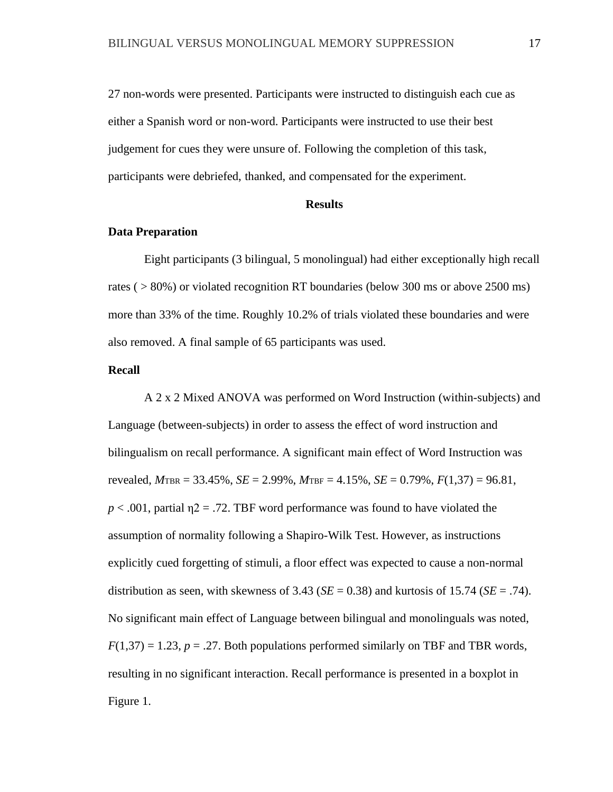27 non-words were presented. Participants were instructed to distinguish each cue as either a Spanish word or non-word. Participants were instructed to use their best judgement for cues they were unsure of. Following the completion of this task, participants were debriefed, thanked, and compensated for the experiment.

#### **Results**

#### **Data Preparation**

Eight participants (3 bilingual, 5 monolingual) had either exceptionally high recall rates ( > 80%) or violated recognition RT boundaries (below 300 ms or above 2500 ms) more than 33% of the time. Roughly 10.2% of trials violated these boundaries and were also removed. A final sample of 65 participants was used.

### **Recall**

A 2 x 2 Mixed ANOVA was performed on Word Instruction (within-subjects) and Language (between-subjects) in order to assess the effect of word instruction and bilingualism on recall performance. A significant main effect of Word Instruction was revealed, *M*TBR = 33.45%, *SE* = 2.99%, *M*TBF = 4.15%, *SE* = 0.79%, *F*(1,37) = 96.81,  $p < .001$ , partial  $\eta$ 2 = .72. TBF word performance was found to have violated the assumption of normality following a Shapiro-Wilk Test. However, as instructions explicitly cued forgetting of stimuli, a floor effect was expected to cause a non-normal distribution as seen, with skewness of  $3.43$  (*SE* = 0.38) and kurtosis of 15.74 (*SE* = .74). No significant main effect of Language between bilingual and monolinguals was noted,  $F(1,37) = 1.23$ ,  $p = .27$ . Both populations performed similarly on TBF and TBR words, resulting in no significant interaction. Recall performance is presented in a boxplot in Figure 1.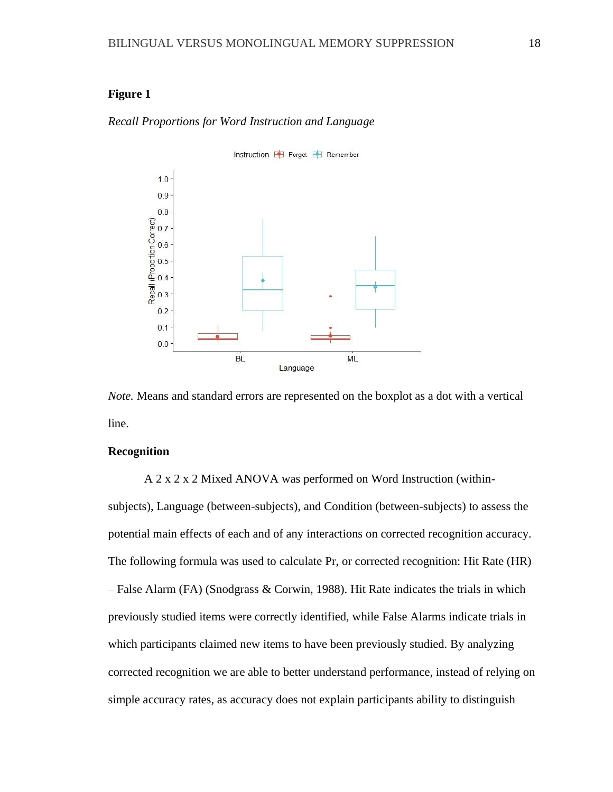# **Figure 1**

#### *Recall Proportions for Word Instruction and Language*



*Note.* Means and standard errors are represented on the boxplot as a dot with a vertical line.

# **Recognition**

A 2 x 2 x 2 Mixed ANOVA was performed on Word Instruction (withinsubjects), Language (between-subjects), and Condition (between-subjects) to assess the potential main effects of each and of any interactions on corrected recognition accuracy. The following formula was used to calculate Pr, or corrected recognition: Hit Rate (HR) – False Alarm (FA) (Snodgrass & Corwin, 1988). Hit Rate indicates the trials in which previously studied items were correctly identified, while False Alarms indicate trials in which participants claimed new items to have been previously studied. By analyzing corrected recognition we are able to better understand performance, instead of relying on simple accuracy rates, as accuracy does not explain participants ability to distinguish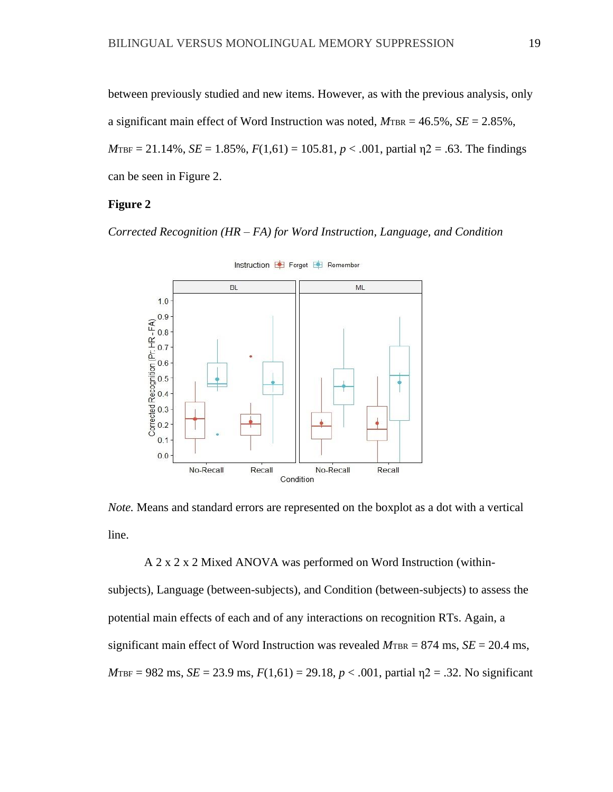between previously studied and new items. However, as with the previous analysis, only a significant main effect of Word Instruction was noted,  $M_{\text{TBR}} = 46.5\%$ ,  $SE = 2.85\%$ ,  $M_{\text{TBF}} = 21.14\%, \, SE = 1.85\%, \, F(1,61) = 105.81, \, p < .001, \, \text{partial} \, \eta^2 = .63. \, \text{The findings}$ can be seen in Figure 2.

## **Figure 2**

*Corrected Recognition (HR – FA) for Word Instruction, Language, and Condition*



*Note.* Means and standard errors are represented on the boxplot as a dot with a vertical

line.

A 2 x 2 x 2 Mixed ANOVA was performed on Word Instruction (within-

subjects), Language (between-subjects), and Condition (between-subjects) to assess the potential main effects of each and of any interactions on recognition RTs. Again, a significant main effect of Word Instruction was revealed  $M_{\text{TBR}} = 874 \text{ ms}$ ,  $SE = 20.4 \text{ ms}$ ,  $M_{\text{TBF}} = 982 \text{ ms}, \, SE = 23.9 \text{ ms}, \, F(1,61) = 29.18, \, p < .001, \, \text{partial } \eta = 2.32. \text{ No significant}$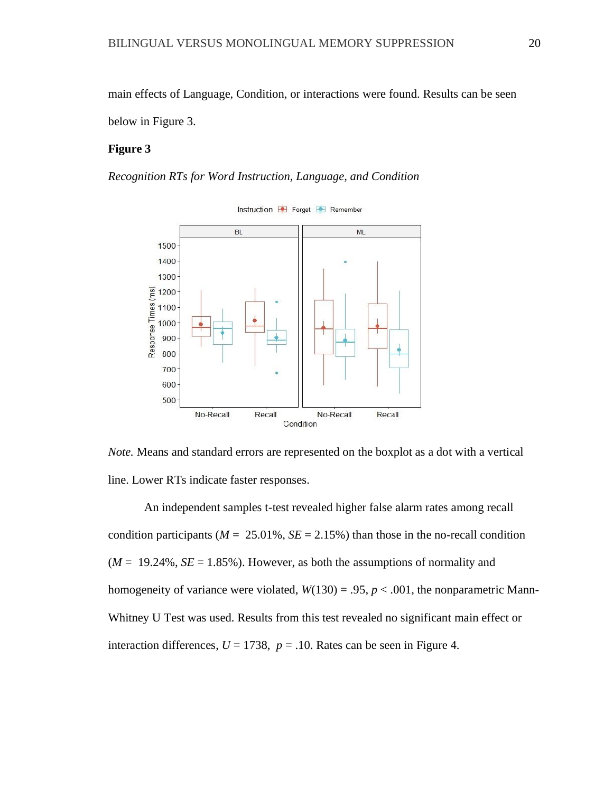main effects of Language, Condition, or interactions were found. Results can be seen below in Figure 3.

#### **Figure 3**

*Recognition RTs for Word Instruction, Language, and Condition*



Instruction  $\blacksquare$  Forget  $\blacksquare$  Remember

*Note.* Means and standard errors are represented on the boxplot as a dot with a vertical line. Lower RTs indicate faster responses.

An independent samples t-test revealed higher false alarm rates among recall condition participants ( $M = 25.01\%$ ,  $SE = 2.15\%$ ) than those in the no-recall condition  $(M = 19.24\%, SE = 1.85\%)$ . However, as both the assumptions of normality and homogeneity of variance were violated,  $W(130) = .95$ ,  $p < .001$ , the nonparametric Mann-Whitney U Test was used. Results from this test revealed no significant main effect or interaction differences,  $U = 1738$ ,  $p = .10$ . Rates can be seen in Figure 4.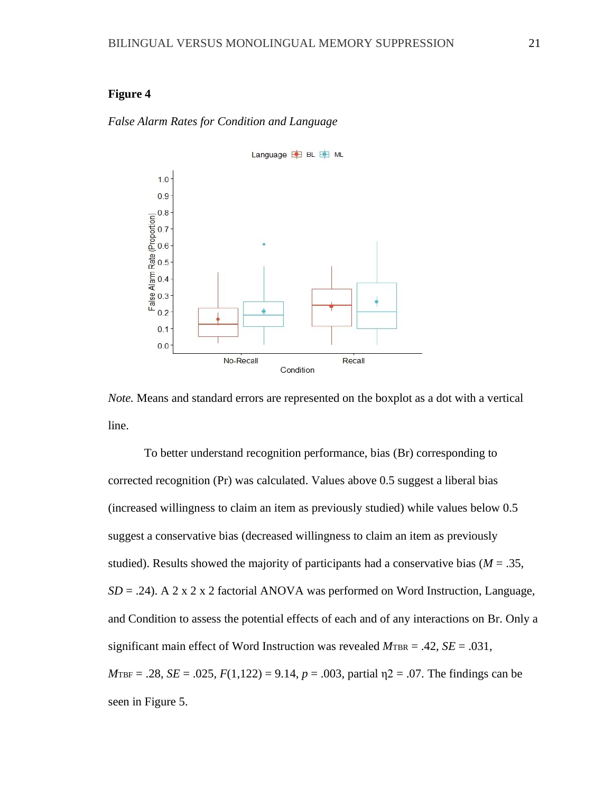# **Figure 4**

# *False Alarm Rates for Condition and Language*



*Note.* Means and standard errors are represented on the boxplot as a dot with a vertical line.

To better understand recognition performance, bias (Br) corresponding to corrected recognition (Pr) was calculated. Values above 0.5 suggest a liberal bias (increased willingness to claim an item as previously studied) while values below 0.5 suggest a conservative bias (decreased willingness to claim an item as previously studied). Results showed the majority of participants had a conservative bias ( $M = .35$ , *SD* = .24). A 2 x 2 x 2 factorial ANOVA was performed on Word Instruction, Language, and Condition to assess the potential effects of each and of any interactions on Br. Only a significant main effect of Word Instruction was revealed  $M_{\text{TBR}} = .42$ ,  $SE = .031$ ,  $M_{\text{TBF}} = .28$ ,  $SE = .025$ ,  $F(1,122) = 9.14$ ,  $p = .003$ , partial  $n2 = .07$ . The findings can be seen in Figure 5.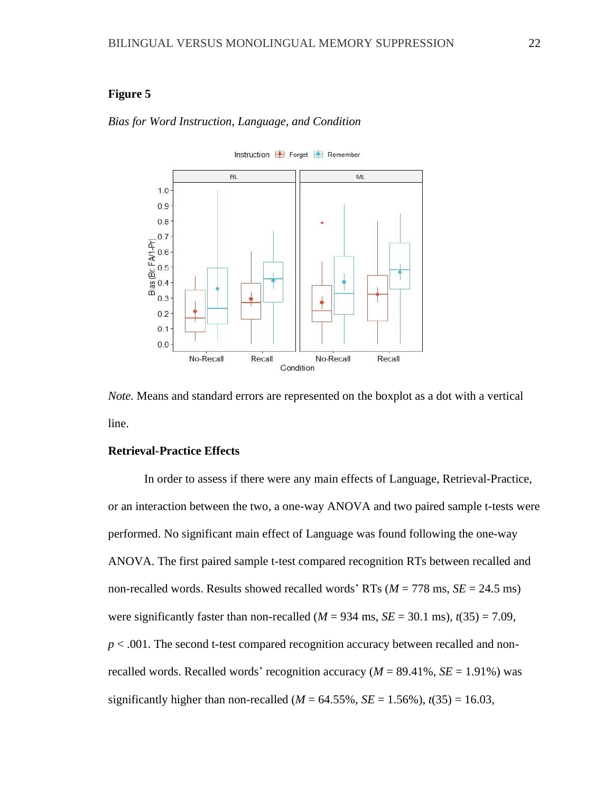# **Figure 5**

### *Bias for Word Instruction, Language, and Condition*

Instruction **Forget Forget** Remember



*Note.* Means and standard errors are represented on the boxplot as a dot with a vertical line.

## **Retrieval-Practice Effects**

In order to assess if there were any main effects of Language, Retrieval-Practice, or an interaction between the two, a one-way ANOVA and two paired sample t-tests were performed. No significant main effect of Language was found following the one-way ANOVA. The first paired sample t-test compared recognition RTs between recalled and non-recalled words. Results showed recalled words' RTs  $(M = 778 \text{ ms}, SE = 24.5 \text{ ms})$ were significantly faster than non-recalled  $(M = 934 \text{ ms}, SE = 30.1 \text{ ms})$ ,  $t(35) = 7.09$ , *p* < .001. The second t-test compared recognition accuracy between recalled and nonrecalled words. Recalled words' recognition accuracy  $(M = 89.41\%, SE = 1.91\%)$  was significantly higher than non-recalled ( $M = 64.55\%$ ,  $SE = 1.56\%$ ),  $t(35) = 16.03$ ,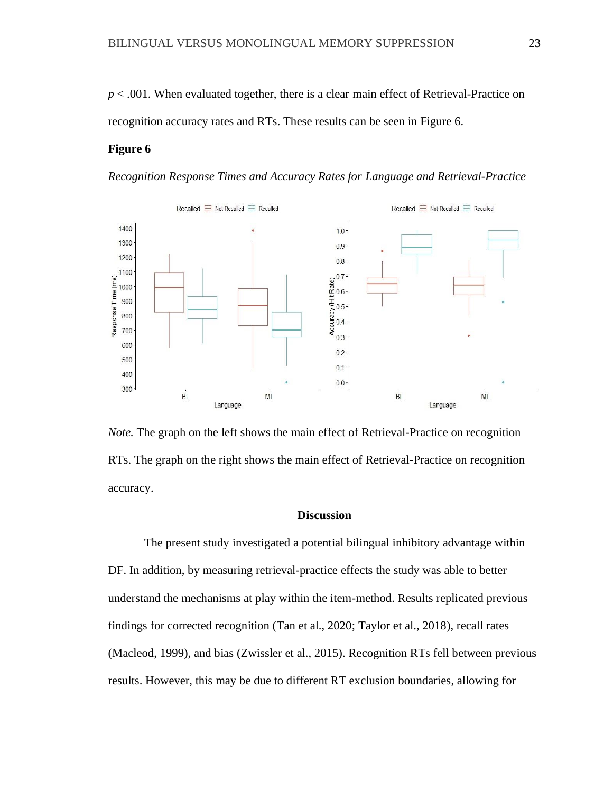*p* < .001. When evaluated together, there is a clear main effect of Retrieval-Practice on recognition accuracy rates and RTs. These results can be seen in Figure 6.

# **Figure 6**

*Recognition Response Times and Accuracy Rates for Language and Retrieval-Practice*



*Note.* The graph on the left shows the main effect of Retrieval-Practice on recognition RTs. The graph on the right shows the main effect of Retrieval-Practice on recognition accuracy.

#### **Discussion**

The present study investigated a potential bilingual inhibitory advantage within DF. In addition, by measuring retrieval-practice effects the study was able to better understand the mechanisms at play within the item-method. Results replicated previous findings for corrected recognition (Tan et al., 2020; Taylor et al., 2018), recall rates (Macleod, 1999), and bias (Zwissler et al., 2015). Recognition RTs fell between previous results. However, this may be due to different RT exclusion boundaries, allowing for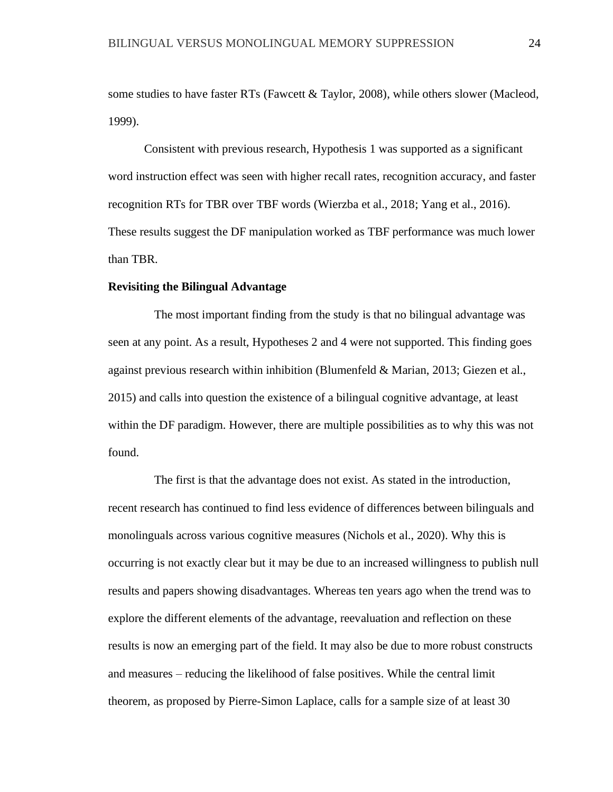some studies to have faster RTs (Fawcett & Taylor, 2008), while others slower (Macleod, 1999).

Consistent with previous research, Hypothesis 1 was supported as a significant word instruction effect was seen with higher recall rates, recognition accuracy, and faster recognition RTs for TBR over TBF words (Wierzba et al., 2018; Yang et al., 2016). These results suggest the DF manipulation worked as TBF performance was much lower than TBR.

#### **Revisiting the Bilingual Advantage**

The most important finding from the study is that no bilingual advantage was seen at any point. As a result, Hypotheses 2 and 4 were not supported. This finding goes against previous research within inhibition (Blumenfeld & Marian, 2013; Giezen et al., 2015) and calls into question the existence of a bilingual cognitive advantage, at least within the DF paradigm. However, there are multiple possibilities as to why this was not found.

The first is that the advantage does not exist. As stated in the introduction, recent research has continued to find less evidence of differences between bilinguals and monolinguals across various cognitive measures (Nichols et al., 2020). Why this is occurring is not exactly clear but it may be due to an increased willingness to publish null results and papers showing disadvantages. Whereas ten years ago when the trend was to explore the different elements of the advantage, reevaluation and reflection on these results is now an emerging part of the field. It may also be due to more robust constructs and measures – reducing the likelihood of false positives. While the central limit theorem, as proposed by Pierre-Simon Laplace, calls for a sample size of at least 30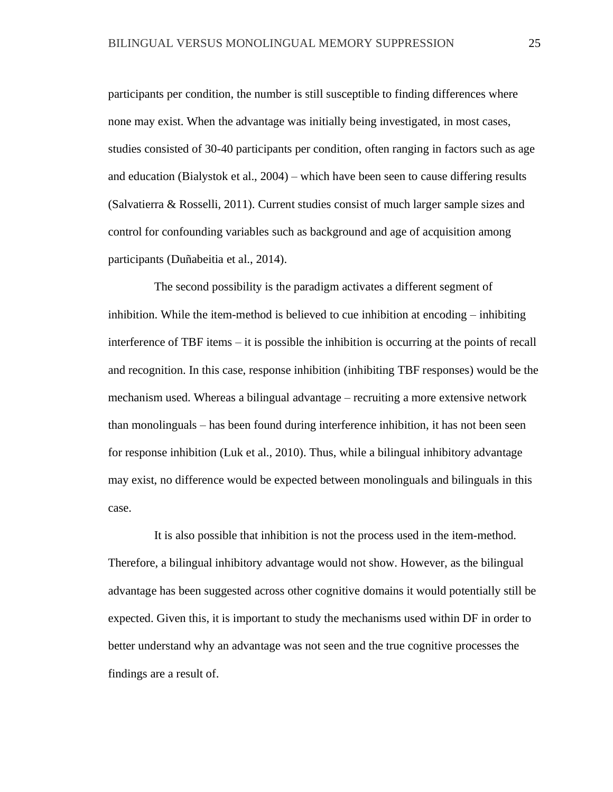participants per condition, the number is still susceptible to finding differences where none may exist. When the advantage was initially being investigated, in most cases, studies consisted of 30-40 participants per condition, often ranging in factors such as age and education (Bialystok et al., 2004) – which have been seen to cause differing results (Salvatierra & Rosselli, 2011). Current studies consist of much larger sample sizes and control for confounding variables such as background and age of acquisition among participants (Duñabeitia et al., 2014).

The second possibility is the paradigm activates a different segment of inhibition. While the item-method is believed to cue inhibition at encoding – inhibiting interference of TBF items – it is possible the inhibition is occurring at the points of recall and recognition. In this case, response inhibition (inhibiting TBF responses) would be the mechanism used. Whereas a bilingual advantage – recruiting a more extensive network than monolinguals – has been found during interference inhibition, it has not been seen for response inhibition (Luk et al., 2010). Thus, while a bilingual inhibitory advantage may exist, no difference would be expected between monolinguals and bilinguals in this case.

It is also possible that inhibition is not the process used in the item-method. Therefore, a bilingual inhibitory advantage would not show. However, as the bilingual advantage has been suggested across other cognitive domains it would potentially still be expected. Given this, it is important to study the mechanisms used within DF in order to better understand why an advantage was not seen and the true cognitive processes the findings are a result of.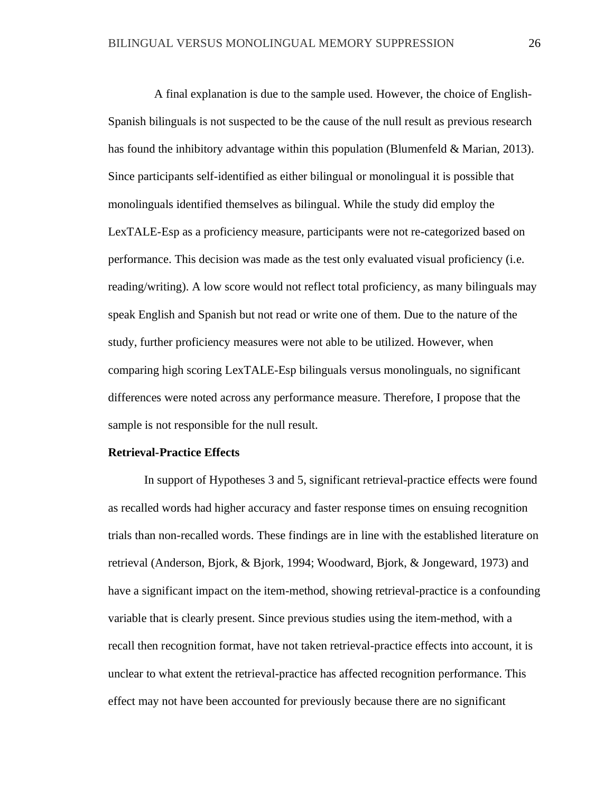A final explanation is due to the sample used. However, the choice of English-Spanish bilinguals is not suspected to be the cause of the null result as previous research has found the inhibitory advantage within this population (Blumenfeld & Marian, 2013). Since participants self-identified as either bilingual or monolingual it is possible that monolinguals identified themselves as bilingual. While the study did employ the LexTALE-Esp as a proficiency measure, participants were not re-categorized based on performance. This decision was made as the test only evaluated visual proficiency (i.e. reading/writing). A low score would not reflect total proficiency, as many bilinguals may speak English and Spanish but not read or write one of them. Due to the nature of the study, further proficiency measures were not able to be utilized. However, when comparing high scoring LexTALE-Esp bilinguals versus monolinguals, no significant differences were noted across any performance measure. Therefore, I propose that the sample is not responsible for the null result.

# **Retrieval-Practice Effects**

In support of Hypotheses 3 and 5, significant retrieval-practice effects were found as recalled words had higher accuracy and faster response times on ensuing recognition trials than non-recalled words. These findings are in line with the established literature on retrieval (Anderson, Bjork, & Bjork, 1994; Woodward, Bjork, & Jongeward, 1973) and have a significant impact on the item-method, showing retrieval-practice is a confounding variable that is clearly present. Since previous studies using the item-method, with a recall then recognition format, have not taken retrieval-practice effects into account, it is unclear to what extent the retrieval-practice has affected recognition performance. This effect may not have been accounted for previously because there are no significant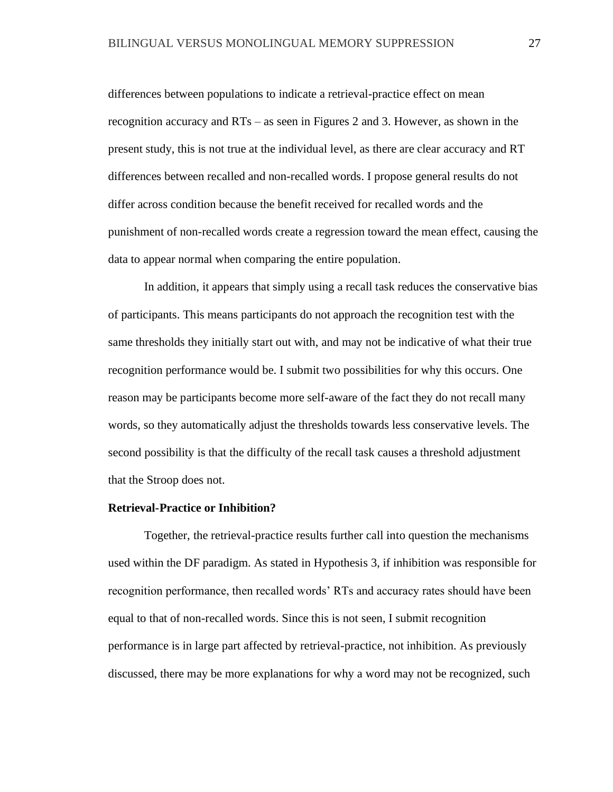differences between populations to indicate a retrieval-practice effect on mean recognition accuracy and RTs – as seen in Figures 2 and 3. However, as shown in the present study, this is not true at the individual level, as there are clear accuracy and RT differences between recalled and non-recalled words. I propose general results do not differ across condition because the benefit received for recalled words and the punishment of non-recalled words create a regression toward the mean effect, causing the data to appear normal when comparing the entire population.

In addition, it appears that simply using a recall task reduces the conservative bias of participants. This means participants do not approach the recognition test with the same thresholds they initially start out with, and may not be indicative of what their true recognition performance would be. I submit two possibilities for why this occurs. One reason may be participants become more self-aware of the fact they do not recall many words, so they automatically adjust the thresholds towards less conservative levels. The second possibility is that the difficulty of the recall task causes a threshold adjustment that the Stroop does not.

#### **Retrieval-Practice or Inhibition?**

Together, the retrieval-practice results further call into question the mechanisms used within the DF paradigm. As stated in Hypothesis 3, if inhibition was responsible for recognition performance, then recalled words' RTs and accuracy rates should have been equal to that of non-recalled words. Since this is not seen, I submit recognition performance is in large part affected by retrieval-practice, not inhibition. As previously discussed, there may be more explanations for why a word may not be recognized, such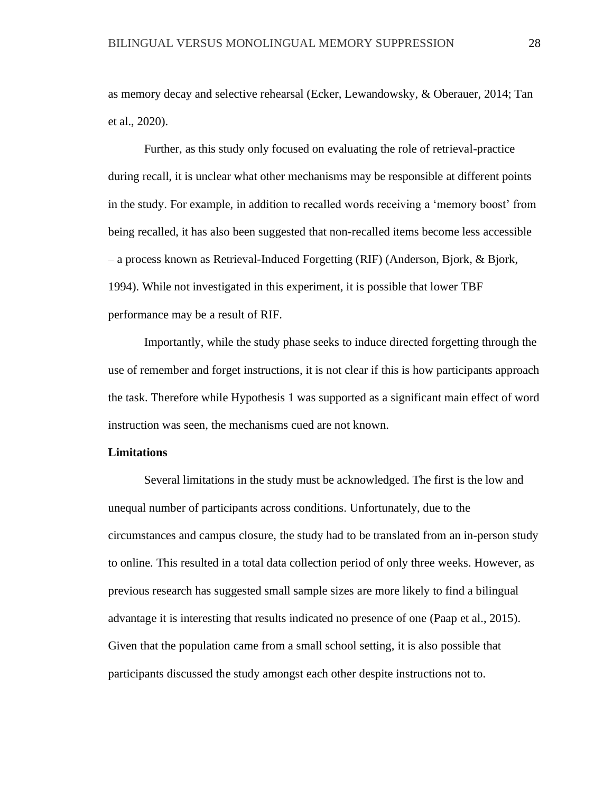as memory decay and selective rehearsal (Ecker, Lewandowsky, & Oberauer, 2014; Tan et al., 2020).

Further, as this study only focused on evaluating the role of retrieval-practice during recall, it is unclear what other mechanisms may be responsible at different points in the study. For example, in addition to recalled words receiving a 'memory boost' from being recalled, it has also been suggested that non-recalled items become less accessible – a process known as Retrieval-Induced Forgetting (RIF) (Anderson, Bjork, & Bjork, 1994). While not investigated in this experiment, it is possible that lower TBF performance may be a result of RIF.

Importantly, while the study phase seeks to induce directed forgetting through the use of remember and forget instructions, it is not clear if this is how participants approach the task. Therefore while Hypothesis 1 was supported as a significant main effect of word instruction was seen, the mechanisms cued are not known.

### **Limitations**

Several limitations in the study must be acknowledged. The first is the low and unequal number of participants across conditions. Unfortunately, due to the circumstances and campus closure, the study had to be translated from an in-person study to online. This resulted in a total data collection period of only three weeks. However, as previous research has suggested small sample sizes are more likely to find a bilingual advantage it is interesting that results indicated no presence of one (Paap et al., 2015). Given that the population came from a small school setting, it is also possible that participants discussed the study amongst each other despite instructions not to.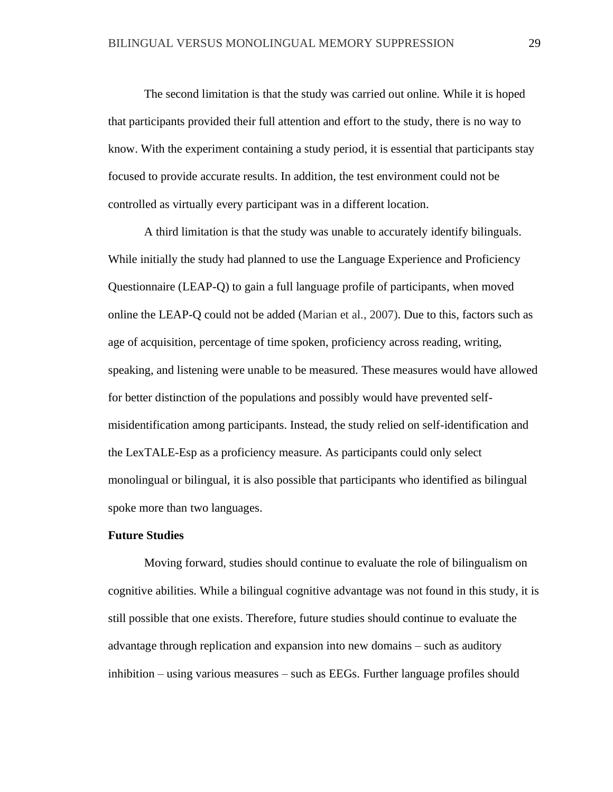The second limitation is that the study was carried out online. While it is hoped that participants provided their full attention and effort to the study, there is no way to know. With the experiment containing a study period, it is essential that participants stay focused to provide accurate results. In addition, the test environment could not be controlled as virtually every participant was in a different location.

A third limitation is that the study was unable to accurately identify bilinguals. While initially the study had planned to use the Language Experience and Proficiency Questionnaire (LEAP-Q) to gain a full language profile of participants, when moved online the LEAP-Q could not be added (Marian et al., 2007). Due to this, factors such as age of acquisition, percentage of time spoken, proficiency across reading, writing, speaking, and listening were unable to be measured. These measures would have allowed for better distinction of the populations and possibly would have prevented selfmisidentification among participants. Instead, the study relied on self-identification and the LexTALE-Esp as a proficiency measure. As participants could only select monolingual or bilingual, it is also possible that participants who identified as bilingual spoke more than two languages.

# **Future Studies**

Moving forward, studies should continue to evaluate the role of bilingualism on cognitive abilities. While a bilingual cognitive advantage was not found in this study, it is still possible that one exists. Therefore, future studies should continue to evaluate the advantage through replication and expansion into new domains – such as auditory inhibition – using various measures – such as EEGs. Further language profiles should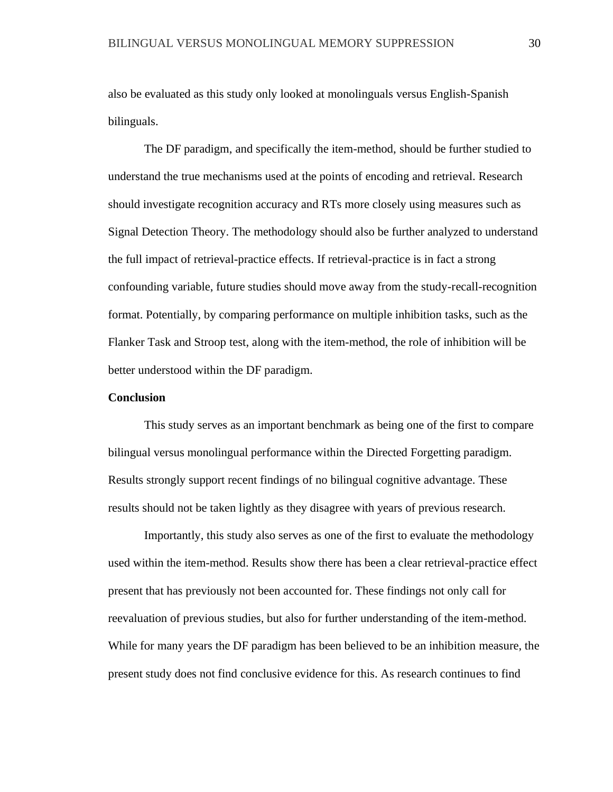also be evaluated as this study only looked at monolinguals versus English-Spanish bilinguals.

The DF paradigm, and specifically the item-method, should be further studied to understand the true mechanisms used at the points of encoding and retrieval. Research should investigate recognition accuracy and RTs more closely using measures such as Signal Detection Theory. The methodology should also be further analyzed to understand the full impact of retrieval-practice effects. If retrieval-practice is in fact a strong confounding variable, future studies should move away from the study-recall-recognition format. Potentially, by comparing performance on multiple inhibition tasks, such as the Flanker Task and Stroop test, along with the item-method, the role of inhibition will be better understood within the DF paradigm.

# **Conclusion**

This study serves as an important benchmark as being one of the first to compare bilingual versus monolingual performance within the Directed Forgetting paradigm. Results strongly support recent findings of no bilingual cognitive advantage. These results should not be taken lightly as they disagree with years of previous research.

Importantly, this study also serves as one of the first to evaluate the methodology used within the item-method. Results show there has been a clear retrieval-practice effect present that has previously not been accounted for. These findings not only call for reevaluation of previous studies, but also for further understanding of the item-method. While for many years the DF paradigm has been believed to be an inhibition measure, the present study does not find conclusive evidence for this. As research continues to find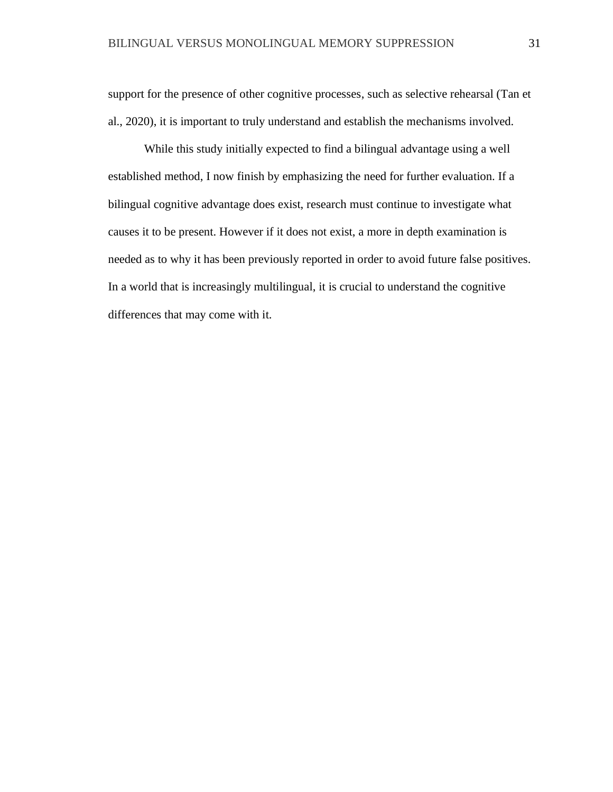support for the presence of other cognitive processes, such as selective rehearsal (Tan et al., 2020), it is important to truly understand and establish the mechanisms involved.

While this study initially expected to find a bilingual advantage using a well established method, I now finish by emphasizing the need for further evaluation. If a bilingual cognitive advantage does exist, research must continue to investigate what causes it to be present. However if it does not exist, a more in depth examination is needed as to why it has been previously reported in order to avoid future false positives. In a world that is increasingly multilingual, it is crucial to understand the cognitive differences that may come with it.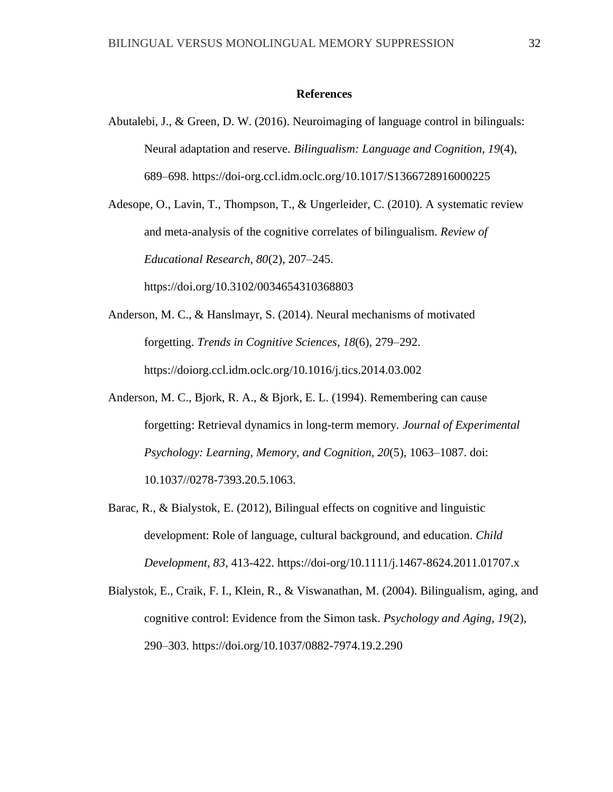#### **References**

Abutalebi, J., & Green, D. W. (2016). Neuroimaging of language control in bilinguals: Neural adaptation and reserve. *Bilingualism: Language and Cognition, 19*(4), 689–698. https://doi-org.ccl.idm.oclc.org/10.1017/S1366728916000225

Adesope, O., Lavin, T., Thompson, T., & Ungerleider, C. (2010). A systematic review and meta-analysis of the cognitive correlates of bilingualism. *Review of Educational Research, 80*(2), 207–245.

https://doi.org/10.3102/0034654310368803

- Anderson, M. C., & Hanslmayr, S. (2014). Neural mechanisms of motivated forgetting. *Trends in Cognitive Sciences*, *18*(6), 279–292. https://doiorg.ccl.idm.oclc.org/10.1016/j.tics.2014.03.002
- Anderson, M. C., Bjork, R. A., & Bjork, E. L. (1994). Remembering can cause forgetting: Retrieval dynamics in long-term memory*. Journal of Experimental Psychology: Learning, Memory, and Cognition, 20*(5), 1063–1087. doi: 10.1037//0278-7393.20.5.1063.
- Barac, R., & Bialystok, E. (2012), Bilingual effects on cognitive and linguistic development: Role of language, cultural background, and education. *Child Development, 83*, 413-422. https://doi-org/10.1111/j.1467-8624.2011.01707.x
- Bialystok, E., Craik, F. I., Klein, R., & Viswanathan, M. (2004). Bilingualism, aging, and cognitive control: Evidence from the Simon task. *Psychology and Aging, 19*(2), 290–303. https://doi.org/10.1037/0882-7974.19.2.290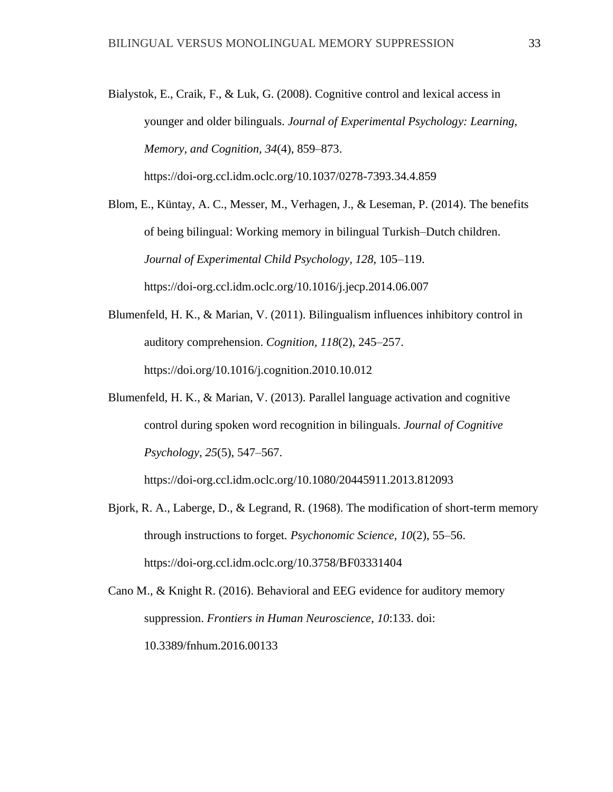Bialystok, E., Craik, F., & Luk, G. (2008). Cognitive control and lexical access in younger and older bilinguals. *Journal of Experimental Psychology: Learning, Memory, and Cognition, 34*(4), 859–873. https://doi-org.ccl.idm.oclc.org/10.1037/0278-7393.34.4.859

Blom, E., Küntay, A. C., Messer, M., Verhagen, J., & Leseman, P. (2014). The benefits of being bilingual: Working memory in bilingual Turkish–Dutch children. *Journal of Experimental Child Psychology, 128*, 105–119. https://doi-org.ccl.idm.oclc.org/10.1016/j.jecp.2014.06.007

- Blumenfeld, H. K., & Marian, V. (2011). Bilingualism influences inhibitory control in auditory comprehension. *Cognition, 118*(2), 245–257. https://doi.org/10.1016/j.cognition.2010.10.012
- Blumenfeld, H. K., & Marian, V. (2013). Parallel language activation and cognitive control during spoken word recognition in bilinguals. *Journal of Cognitive Psychology*, *25*(5), 547–567.

https://doi-org.ccl.idm.oclc.org/10.1080/20445911.2013.812093

- Bjork, R. A., Laberge, D., & Legrand, R. (1968). The modification of short-term memory through instructions to forget. *Psychonomic Science, 10*(2), 55–56. https://doi-org.ccl.idm.oclc.org/10.3758/BF03331404
- Cano M., & Knight R. (2016). Behavioral and EEG evidence for auditory memory suppression. *Frontiers in Human Neuroscience*, *10*:133. doi: 10.3389/fnhum.2016.00133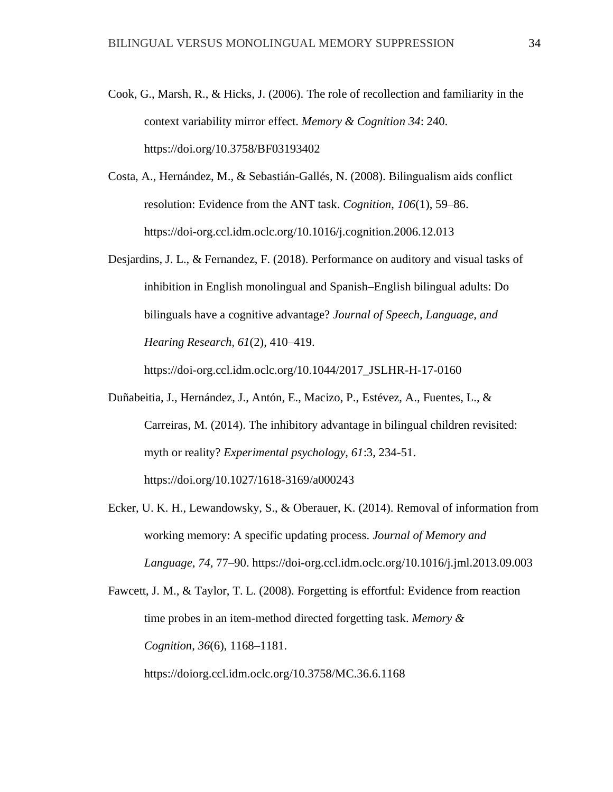- Cook, G., Marsh, R., & Hicks, J. (2006). The role of recollection and familiarity in the context variability mirror effect. *Memory & Cognition 34*: 240. https://doi.org/10.3758/BF03193402
- Costa, A., Hernández, M., & Sebastián-Gallés, N. (2008). Bilingualism aids conflict resolution: Evidence from the ANT task. *Cognition*, *106*(1), 59–86. https://doi-org.ccl.idm.oclc.org/10.1016/j.cognition.2006.12.013
- Desjardins, J. L., & Fernandez, F. (2018). Performance on auditory and visual tasks of inhibition in English monolingual and Spanish–English bilingual adults: Do bilinguals have a cognitive advantage? *Journal of Speech, Language, and Hearing Research, 61*(2), 410–419.

https://doi-org.ccl.idm.oclc.org/10.1044/2017\_JSLHR-H-17-0160

- Duñabeitia, J., Hernández, J., Antón, E., Macizo, P., Estévez, A., Fuentes, L., & Carreiras, M. (2014). The inhibitory advantage in bilingual children revisited: myth or reality? *Experimental psychology, 61*:3, 234-51. https://doi.org/10.1027/1618-3169/a000243
- Ecker, U. K. H., Lewandowsky, S., & Oberauer, K. (2014). Removal of information from working memory: A specific updating process. *Journal of Memory and Language*, *74*, 77–90. https://doi-org.ccl.idm.oclc.org/10.1016/j.jml.2013.09.003
- Fawcett, J. M., & Taylor, T. L. (2008). Forgetting is effortful: Evidence from reaction time probes in an item-method directed forgetting task. *Memory & Cognition*, *36*(6), 1168–1181.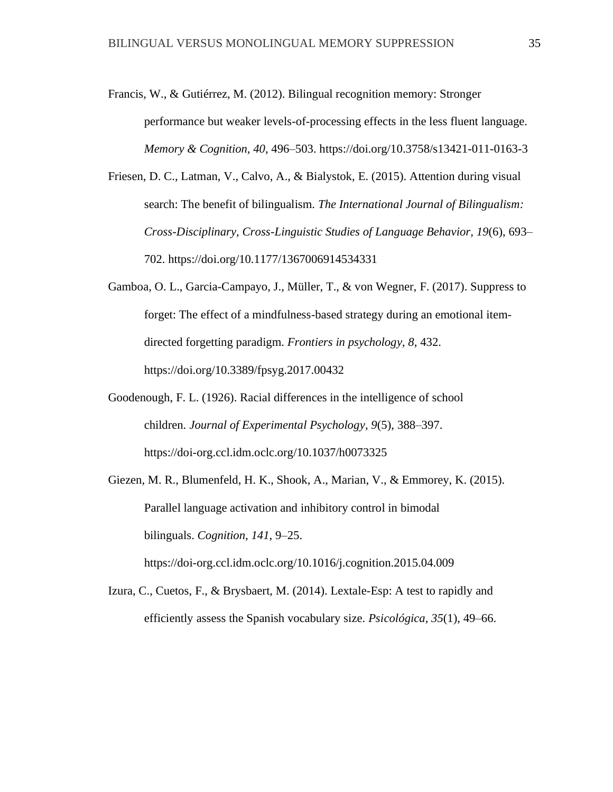- Francis, W., & Gutiérrez, M. (2012). Bilingual recognition memory: Stronger performance but weaker levels-of-processing effects in the less fluent language. *Memory & Cognition, 40*, 496–503. https://doi.org/10.3758/s13421-011-0163-3
- Friesen, D. C., Latman, V., Calvo, A., & Bialystok, E. (2015). Attention during visual search: The benefit of bilingualism. *The International Journal of Bilingualism: Cross-Disciplinary, Cross-Linguistic Studies of Language Behavior, 19*(6), 693– 702. https://doi.org/10.1177/1367006914534331
- Gamboa, O. L., Garcia-Campayo, J., Müller, T., & von Wegner, F. (2017). Suppress to forget: The effect of a mindfulness-based strategy during an emotional itemdirected forgetting paradigm. *Frontiers in psychology, 8*, 432. https://doi.org/10.3389/fpsyg.2017.00432
- Goodenough, F. L. (1926). Racial differences in the intelligence of school children. *Journal of Experimental Psychology*, *9*(5), 388–397. https://doi-org.ccl.idm.oclc.org/10.1037/h0073325
- Giezen, M. R., Blumenfeld, H. K., Shook, A., Marian, V., & Emmorey, K. (2015). Parallel language activation and inhibitory control in bimodal bilinguals. *Cognition*, *141*, 9–25. https://doi-org.ccl.idm.oclc.org/10.1016/j.cognition.2015.04.009
- Izura, C., Cuetos, F., & Brysbaert, M. (2014). Lextale-Esp: A test to rapidly and efficiently assess the Spanish vocabulary size. *Psicológica*, *35*(1), 49–66.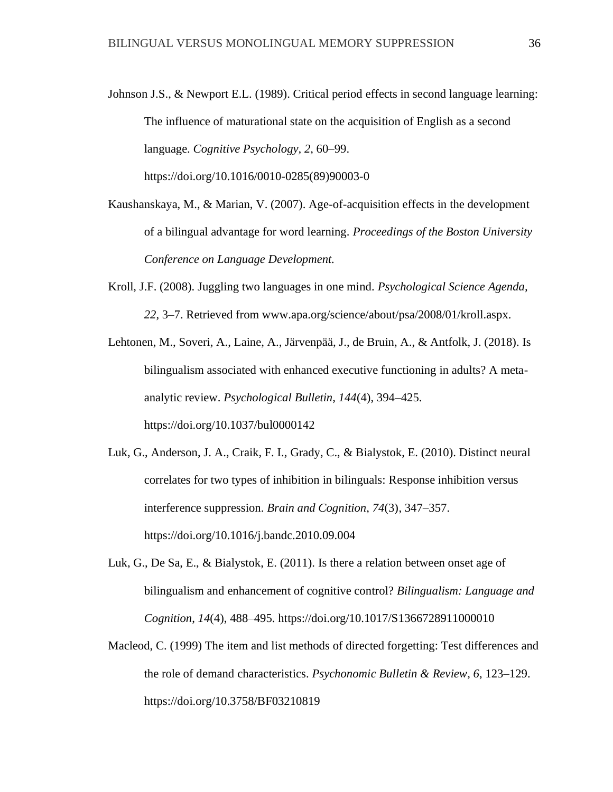Johnson J.S., & Newport E.L. (1989). Critical period effects in second language learning: The influence of maturational state on the acquisition of English as a second language. *Cognitive Psychology, 2*, 60–99.

https://doi.org/10.1016/0010-0285(89)90003-0

- Kaushanskaya, M., & Marian, V. (2007). Age-of-acquisition effects in the development of a bilingual advantage for word learning. *Proceedings of the Boston University Conference on Language Development.*
- Kroll, J.F. (2008). Juggling two languages in one mind. *Psychological Science Agenda, 22*, 3–7. Retrieved from www.apa.org/science/about/psa/2008/01/kroll.aspx.
- Lehtonen, M., Soveri, A., Laine, A., Järvenpää, J., de Bruin, A., & Antfolk, J. (2018). Is bilingualism associated with enhanced executive functioning in adults? A metaanalytic review. *Psychological Bulletin, 144*(4), 394–425. https://doi.org/10.1037/bul0000142
- Luk, G., Anderson, J. A., Craik, F. I., Grady, C., & Bialystok, E. (2010). Distinct neural correlates for two types of inhibition in bilinguals: Response inhibition versus interference suppression. *Brain and Cognition*, *74*(3), 347–357. https://doi.org/10.1016/j.bandc.2010.09.004
- Luk, G., De Sa, E., & Bialystok, E. (2011). Is there a relation between onset age of bilingualism and enhancement of cognitive control? *Bilingualism: Language and Cognition*, *14*(4), 488–495. https://doi.org/10.1017/S1366728911000010
- Macleod, C. (1999) The item and list methods of directed forgetting: Test differences and the role of demand characteristics. *Psychonomic Bulletin & Review, 6*, 123–129. https://doi.org/10.3758/BF03210819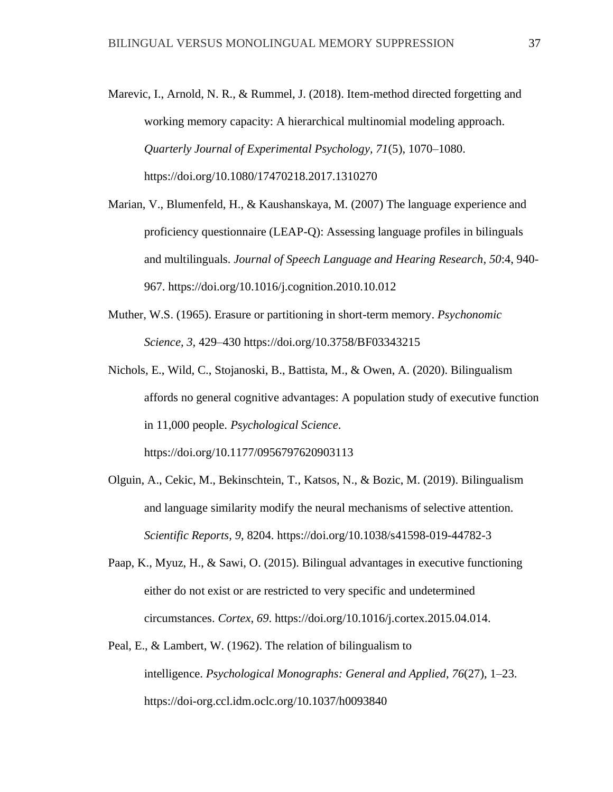- Marevic, I., Arnold, N. R., & Rummel, J. (2018). Item-method directed forgetting and working memory capacity: A hierarchical multinomial modeling approach. *Quarterly Journal of Experimental Psychology, 71*(5), 1070–1080. https://doi.org/10.1080/17470218.2017.1310270
- Marian, V., Blumenfeld, H., & Kaushanskaya, M. (2007) The language experience and proficiency questionnaire (LEAP-Q): Assessing language profiles in bilinguals and multilinguals. *Journal of Speech Language and Hearing Research*, *50*:4, 940- 967. https://doi.org/10.1016/j.cognition.2010.10.012
- Muther, W.S. (1965). Erasure or partitioning in short-term memory. *Psychonomic Science, 3*, 429–430 https://doi.org/10.3758/BF03343215
- Nichols, E., Wild, C., Stojanoski, B., Battista, M., & Owen, A. (2020). Bilingualism affords no general cognitive advantages: A population study of executive function in 11,000 people. *Psychological Science*. https://doi.org/10.1177/0956797620903113
- Olguin, A., Cekic, M., Bekinschtein, T., Katsos, N., & Bozic, M. (2019). Bilingualism and language similarity modify the neural mechanisms of selective attention.

*Scientific Reports, 9*, 8204. https://doi.org/10.1038/s41598-019-44782-3

- Paap, K., Myuz, H., & Sawi, O. (2015). Bilingual advantages in executive functioning either do not exist or are restricted to very specific and undetermined circumstances. *Cortex*, *69*. https://doi.org/10.1016/j.cortex.2015.04.014.
- Peal, E., & Lambert, W. (1962). The relation of bilingualism to intelligence. *Psychological Monographs: General and Applied*, *76*(27), 1–23. https://doi-org.ccl.idm.oclc.org/10.1037/h0093840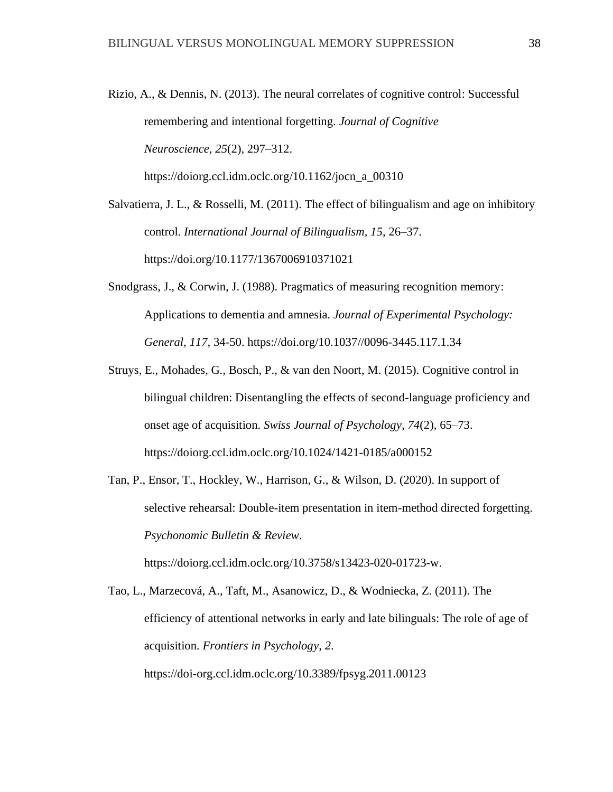https://doiorg.ccl.idm.oclc.org/10.1162/jocn\_a\_00310

Rizio, A., & Dennis, N. (2013). The neural correlates of cognitive control: Successful remembering and intentional forgetting. *Journal of Cognitive Neuroscience*, *25*(2), 297–312.

Salvatierra, J. L., & Rosselli, M. (2011). The effect of bilingualism and age on inhibitory control. *International Journal of Bilingualism, 15,* 26–37.

https://doi.org/10.1177/1367006910371021

- Snodgrass, J., & Corwin, J. (1988). Pragmatics of measuring recognition memory: Applications to dementia and amnesia. *Journal of Experimental Psychology: General, 117*, 34-50. https://doi.org/10.1037//0096-3445.117.1.34
- Struys, E., Mohades, G., Bosch, P., & van den Noort, M. (2015). Cognitive control in bilingual children: Disentangling the effects of second-language proficiency and onset age of acquisition. *Swiss Journal of Psychology*, *74*(2), 65–73. https://doiorg.ccl.idm.oclc.org/10.1024/1421-0185/a000152
- Tan, P., Ensor, T., Hockley, W., Harrison, G., & Wilson, D. (2020). In support of selective rehearsal: Double-item presentation in item-method directed forgetting. *Psychonomic Bulletin & Review*.

https://doiorg.ccl.idm.oclc.org/10.3758/s13423-020-01723-w.

Tao, L., Marzecová, A., Taft, M., Asanowicz, D., & Wodniecka, Z. (2011). The efficiency of attentional networks in early and late bilinguals: The role of age of acquisition. *Frontiers in Psychology*, *2*. https://doi-org.ccl.idm.oclc.org/10.3389/fpsyg.2011.00123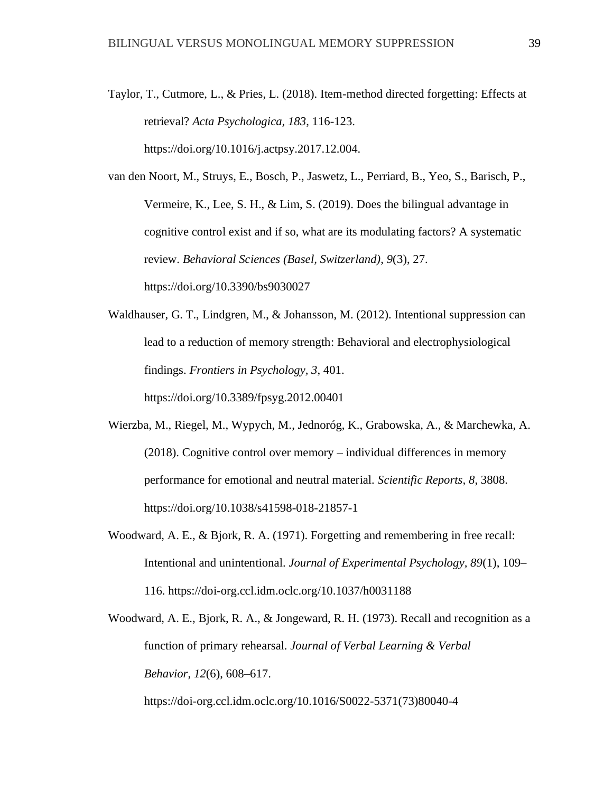Taylor, T., Cutmore, L., & Pries, L. (2018). Item-method directed forgetting: Effects at retrieval? *Acta Psychologica, 183*, 116-123. https://doi.org/10.1016/j.actpsy.2017.12.004.

van den Noort, M., Struys, E., Bosch, P., Jaswetz, L., Perriard, B., Yeo, S., Barisch, P., Vermeire, K., Lee, S. H., & Lim, S. (2019). Does the bilingual advantage in cognitive control exist and if so, what are its modulating factors? A systematic review. *Behavioral Sciences (Basel, Switzerland)*, *9*(3), 27. https://doi.org/10.3390/bs9030027

Waldhauser, G. T., Lindgren, M., & Johansson, M. (2012). Intentional suppression can lead to a reduction of memory strength: Behavioral and electrophysiological findings. *Frontiers in Psychology, 3*, 401. https://doi.org/10.3389/fpsyg.2012.00401

Wierzba, M., Riegel, M., Wypych, M., Jednoróg, K., Grabowska, A., & Marchewka, A. (2018). Cognitive control over memory – individual differences in memory performance for emotional and neutral material. *Scientific Reports, 8*, 3808. https://doi.org/10.1038/s41598-018-21857-1

Woodward, A. E., & Bjork, R. A. (1971). Forgetting and remembering in free recall: Intentional and unintentional. *Journal of Experimental Psychology, 89*(1), 109– 116. https://doi-org.ccl.idm.oclc.org/10.1037/h0031188

Woodward, A. E., Bjork, R. A., & Jongeward, R. H. (1973). Recall and recognition as a function of primary rehearsal. *Journal of Verbal Learning & Verbal Behavior*, *12*(6), 608–617.

https://doi-org.ccl.idm.oclc.org/10.1016/S0022-5371(73)80040-4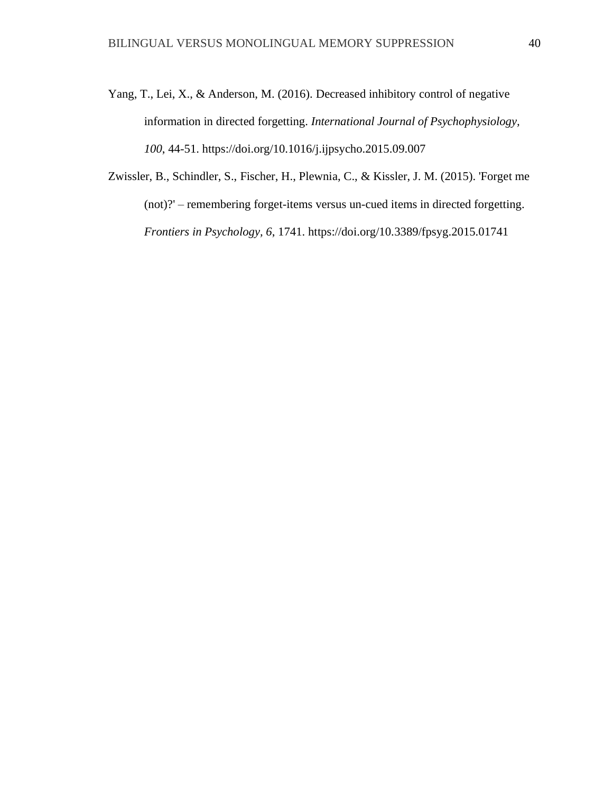Yang, T., Lei, X., & Anderson, M. (2016). Decreased inhibitory control of negative information in directed forgetting. *International Journal of Psychophysiology, 100*, 44-51. https://doi.org/10.1016/j.ijpsycho.2015.09.007

Zwissler, B., Schindler, S., Fischer, H., Plewnia, C., & Kissler, J. M. (2015). 'Forget me (not)?' – remembering forget-items versus un-cued items in directed forgetting. *Frontiers in Psychology, 6*, 1741. https://doi.org/10.3389/fpsyg.2015.01741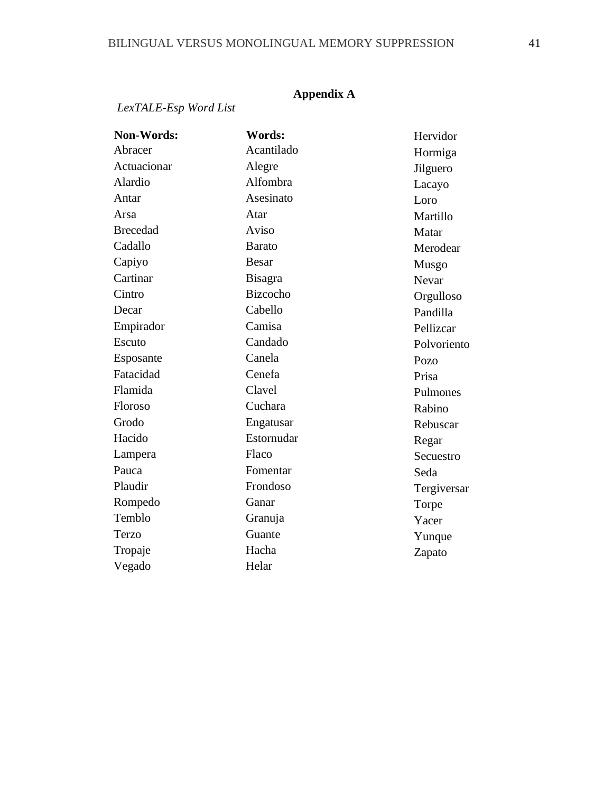# **Appendix A**

#### *LexTALE-Esp Word List*

**Non-Words:** Abracer Actuacionar Alardio Antar Arsa Brecedad Cadallo Capiyo **Cartinar Cintro** Decar Empirador Escuto Esposante Fatacidad Flamida Floroso Grodo Hacido Lampera Pauca Plaudir Rompedo Temblo Terzo Tropaje Vegado  **Words:** Acantilado Alegre Alfombra Asesinato Atar Aviso Barato Besar Bisagra Bizcocho Cabello Camisa Candado Canela Cenefa Clavel Cuchara Engatusar Estornudar Flaco Fomentar Frondoso Ganar Granuja Guante Hacha Helar Hervidor Hormiga Jilguero Lacayo Loro Martillo Matar Merodear Musgo Nevar Orgulloso Pandilla Pellizcar Polvoriento Pozo Prisa Pulmones Rabino Rebuscar Regar Secuestro Seda Tergiversar Torpe Yacer Yunque Zapato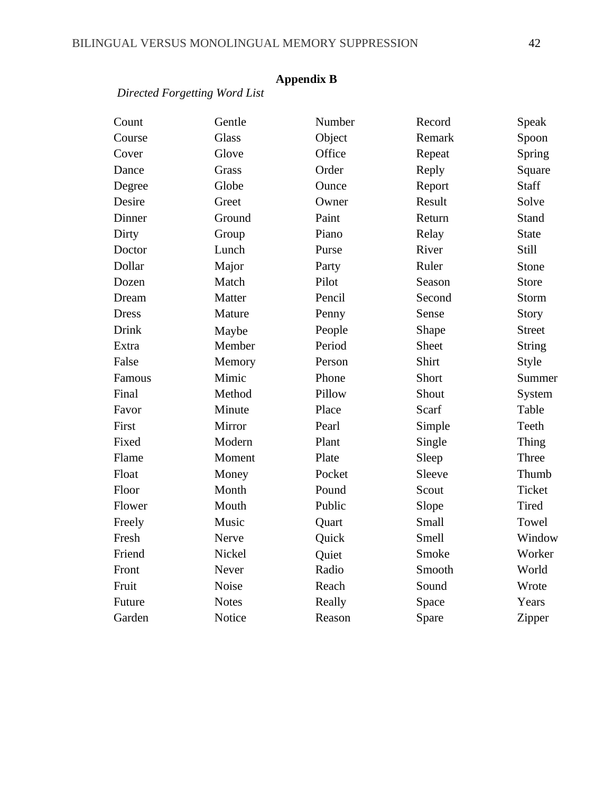# **Appendix B**

*Directed Forgetting Word List*

| Count  | Gentle       | Number | Record | Speak         |
|--------|--------------|--------|--------|---------------|
| Course | <b>Glass</b> | Object | Remark | Spoon         |
| Cover  | Glove        | Office | Repeat | Spring        |
| Dance  | Grass        | Order  | Reply  | Square        |
| Degree | Globe        | Ounce  | Report | Staff         |
| Desire | Greet        | Owner  | Result | Solve         |
| Dinner | Ground       | Paint  | Return | Stand         |
| Dirty  | Group        | Piano  | Relay  | <b>State</b>  |
| Doctor | Lunch        | Purse  | River  | Still         |
| Dollar | Major        | Party  | Ruler  | Stone         |
| Dozen  | Match        | Pilot  | Season | <b>Store</b>  |
| Dream  | Matter       | Pencil | Second | <b>Storm</b>  |
| Dress  | Mature       | Penny  | Sense  | Story         |
| Drink  | Maybe        | People | Shape  | <b>Street</b> |
| Extra  | Member       | Period | Sheet  | <b>String</b> |
| False  | Memory       | Person | Shirt  | Style         |
| Famous | Mimic        | Phone  | Short  | Summer        |
| Final  | Method       | Pillow | Shout  | System        |
| Favor  | Minute       | Place  | Scarf  | Table         |
| First  | Mirror       | Pearl  | Simple | Teeth         |
| Fixed  | Modern       | Plant  | Single | Thing         |
| Flame  | Moment       | Plate  | Sleep  | Three         |
| Float  | Money        | Pocket | Sleeve | Thumb         |
| Floor  | Month        | Pound  | Scout  | Ticket        |
| Flower | Mouth        | Public | Slope  | Tired         |
| Freely | Music        | Quart  | Small  | Towel         |
| Fresh  | Nerve        | Quick  | Smell  | Window        |
| Friend | Nickel       | Quiet  | Smoke  | Worker        |
| Front  | Never        | Radio  | Smooth | World         |
| Fruit  | Noise        | Reach  | Sound  | Wrote         |
| Future | <b>Notes</b> | Really | Space  | Years         |
| Garden | Notice       | Reason | Spare  | Zipper        |
|        |              |        |        |               |